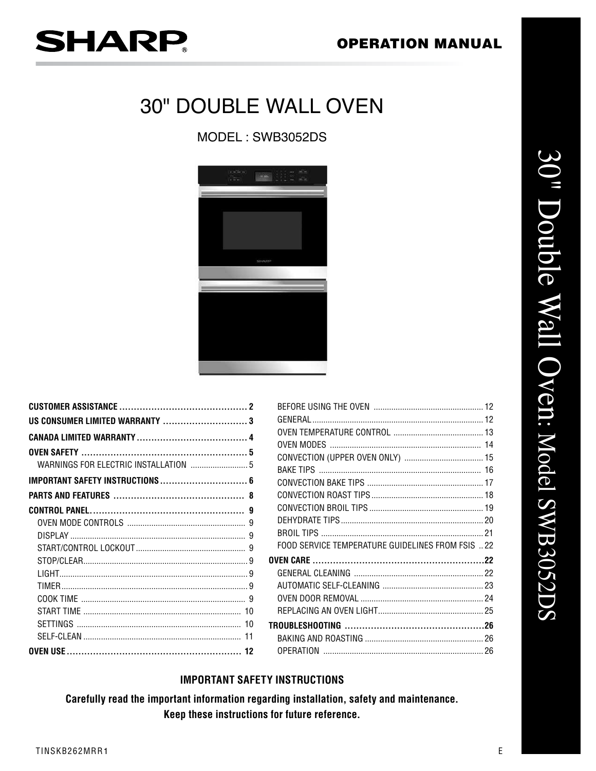## **OPERATION MANUAL**

# **SHARP.**

## **30" DOUBLE WALL OVEN**

MODEL: SWB3052DS



| 8 |
|---|
| g |
|   |
|   |
|   |
|   |
|   |
|   |
|   |
|   |
|   |
|   |
|   |

| FOOD SERVICE TEMPERATURE GUIDELINES FROM FSIS 22 |  |
|--------------------------------------------------|--|
|                                                  |  |
|                                                  |  |
|                                                  |  |
|                                                  |  |
|                                                  |  |
|                                                  |  |
|                                                  |  |
|                                                  |  |
|                                                  |  |

## **IMPORTANT SAFETY INSTRUCTIONS**

Carefully read the important information regarding installation, safety and maintenance. Keep these instructions for future reference.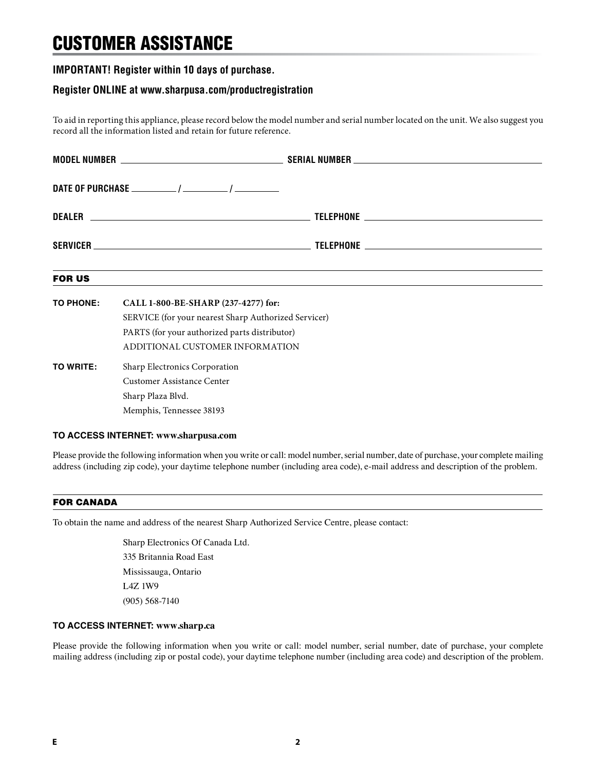## CUSTOMER ASSISTANCE

### **IMPORTANT! Register within 10 days of purchase.**

#### **Register ONLINE at www.sharpusa.com/productregistration**

To aid in reporting this appliance, please record below the model number and serial number located on the unit. We also suggest you record all the information listed and retain for future reference.

| <b>FOR US</b>    |                                                                                                                                                                                 | ,我们也不会有什么。""我们的人,我们也不会有什么?""我们的人,我们也不会有什么?""我们的人,我们也不会有什么?""我们的人,我们也不会有什么?""我们的人 |  |  |
|------------------|---------------------------------------------------------------------------------------------------------------------------------------------------------------------------------|----------------------------------------------------------------------------------|--|--|
| <b>TO PHONE:</b> | CALL 1-800-BE-SHARP (237-4277) for:<br>SERVICE (for your nearest Sharp Authorized Servicer)<br>PARTS (for your authorized parts distributor)<br>ADDITIONAL CUSTOMER INFORMATION |                                                                                  |  |  |
| TO WRITE:        | Sharp Electronics Corporation<br><b>Customer Assistance Center</b><br>Sharp Plaza Blvd.<br>Memphis, Tennessee 38193                                                             |                                                                                  |  |  |

#### **TO ACCESS INTERNET: www.sharpusa.com**

Please provide the following information when you write or call: model number, serial number, date of purchase, your complete mailing address (including zip code), your daytime telephone number (including area code), e-mail address and description of the problem.

#### FOR CANADA

To obtain the name and address of the nearest Sharp Authorized Service Centre, please contact:

Sharp Electronics Of Canada Ltd. 335 Britannia Road East Mississauga, Ontario L4Z 1W9 (905) 568-7140

#### **TO ACCESS INTERNET: www.sharp.ca**

Please provide the following information when you write or call: model number, serial number, date of purchase, your complete mailing address (including zip or postal code), your daytime telephone number (including area code) and description of the problem.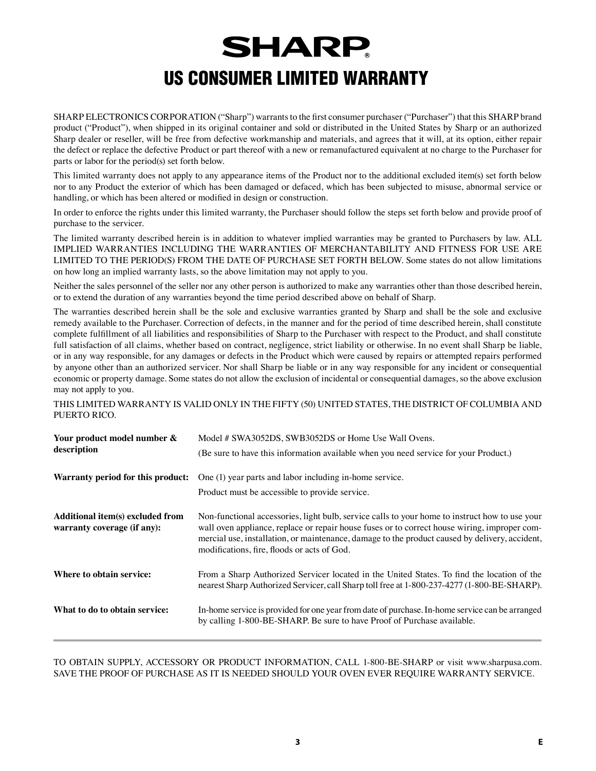## **SHARP** US CONSUMER LIMITED WARRANTY

SHARP ELECTRONICS CORPORATION ("Sharp") warrants to the first consumer purchaser ("Purchaser") that this SHARP brand product ("Product"), when shipped in its original container and sold or distributed in the United States by Sharp or an authorized Sharp dealer or reseller, will be free from defective workmanship and materials, and agrees that it will, at its option, either repair the defect or replace the defective Product or part thereof with a new or remanufactured equivalent at no charge to the Purchaser for parts or labor for the period(s) set forth below.

This limited warranty does not apply to any appearance items of the Product nor to the additional excluded item(s) set forth below nor to any Product the exterior of which has been damaged or defaced, which has been subjected to misuse, abnormal service or handling, or which has been altered or modified in design or construction.

In order to enforce the rights under this limited warranty, the Purchaser should follow the steps set forth below and provide proof of purchase to the servicer.

The limited warranty described herein is in addition to whatever implied warranties may be granted to Purchasers by law. ALL IMPLIED WARRANTIES INCLUDING THE WARRANTIES OF MERCHANTABILITY AND FITNESS FOR USE ARE LIMITED TO THE PERIOD(S) FROM THE DATE OF PURCHASE SET FORTH BELOW. Some states do not allow limitations on how long an implied warranty lasts, so the above limitation may not apply to you.

Neither the sales personnel of the seller nor any other person is authorized to make any warranties other than those described herein, or to extend the duration of any warranties beyond the time period described above on behalf of Sharp.

The warranties described herein shall be the sole and exclusive warranties granted by Sharp and shall be the sole and exclusive remedy available to the Purchaser. Correction of defects, in the manner and for the period of time described herein, shall constitute complete fulfillment of all liabilities and responsibilities of Sharp to the Purchaser with respect to the Product, and shall constitute full satisfaction of all claims, whether based on contract, negligence, strict liability or otherwise. In no event shall Sharp be liable, or in any way responsible, for any damages or defects in the Product which were caused by repairs or attempted repairs performed by anyone other than an authorized servicer. Nor shall Sharp be liable or in any way responsible for any incident or consequential economic or property damage. Some states do not allow the exclusion of incidental or consequential damages, so the above exclusion may not apply to you.

THIS LIMITED WARRANTY IS VALID ONLY IN THE FIFTY (50) UNITED STATES, THE DISTRICT OF COLUMBIA AND PUERTO RICO.

| Your product model number &<br>description                      | Model # SWA3052DS, SWB3052DS or Home Use Wall Ovens.<br>(Be sure to have this information available when you need service for your Product.)                                                                                                                                                                                                    |
|-----------------------------------------------------------------|-------------------------------------------------------------------------------------------------------------------------------------------------------------------------------------------------------------------------------------------------------------------------------------------------------------------------------------------------|
| Warranty period for this product:                               | One (1) year parts and labor including in-home service.                                                                                                                                                                                                                                                                                         |
|                                                                 | Product must be accessible to provide service.                                                                                                                                                                                                                                                                                                  |
| Additional item(s) excluded from<br>warranty coverage (if any): | Non-functional accessories, light bulb, service calls to your home to instruct how to use your<br>wall oven appliance, replace or repair house fuses or to correct house wiring, improper com-<br>mercial use, installation, or maintenance, damage to the product caused by delivery, accident,<br>modifications, fire, floods or acts of God. |
| Where to obtain service:                                        | From a Sharp Authorized Servicer located in the United States. To find the location of the<br>nearest Sharp Authorized Servicer, call Sharp toll free at 1-800-237-4277 (1-800-BE-SHARP).                                                                                                                                                       |
| What to do to obtain service:                                   | In-home service is provided for one year from date of purchase. In-home service can be arranged<br>by calling 1-800-BE-SHARP. Be sure to have Proof of Purchase available.                                                                                                                                                                      |

TO OBTAIN SUPPLY, ACCESSORY OR PRODUCT INFORMATION, CALL 1-800-BE-SHARP or visit www.sharpusa.com. SAVE THE PROOF OF PURCHASE AS IT IS NEEDED SHOULD YOUR OVEN EVER REQUIRE WARRANTY SERVICE.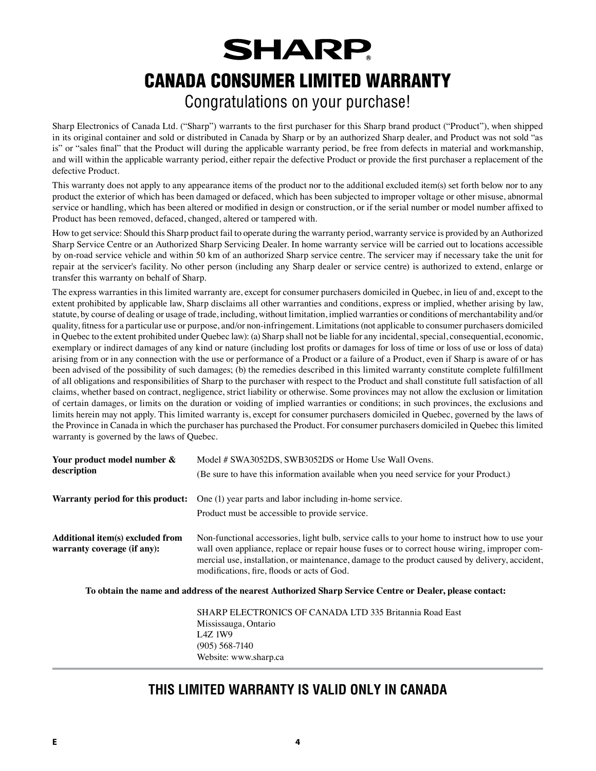## **SHARP** CANADA CONSUMER LIMITED WARRANTY Congratulations on your purchase!

Sharp Electronics of Canada Ltd. ("Sharp") warrants to the first purchaser for this Sharp brand product ("Product"), when shipped in its original container and sold or distributed in Canada by Sharp or by an authorized Sharp dealer, and Product was not sold "as is" or "sales final" that the Product will during the applicable warranty period, be free from defects in material and workmanship, and will within the applicable warranty period, either repair the defective Product or provide the first purchaser a replacement of the defective Product.

This warranty does not apply to any appearance items of the product nor to the additional excluded item(s) set forth below nor to any product the exterior of which has been damaged or defaced, which has been subjected to improper voltage or other misuse, abnormal service or handling, which has been altered or modified in design or construction, or if the serial number or model number affixed to Product has been removed, defaced, changed, altered or tampered with.

How to get service: Should this Sharp product fail to operate during the warranty period, warranty service is provided by an Authorized Sharp Service Centre or an Authorized Sharp Servicing Dealer. In home warranty service will be carried out to locations accessible by on-road service vehicle and within 50 km of an authorized Sharp service centre. The servicer may if necessary take the unit for repair at the servicer's facility. No other person (including any Sharp dealer or service centre) is authorized to extend, enlarge or transfer this warranty on behalf of Sharp.

The express warranties in this limited warranty are, except for consumer purchasers domiciled in Quebec, in lieu of and, except to the extent prohibited by applicable law, Sharp disclaims all other warranties and conditions, express or implied, whether arising by law, statute, by course of dealing or usage of trade, including, without limitation, implied warranties or conditions of merchantability and/or quality, fitness for a particular use or purpose, and/or non-infringement. Limitations (not applicable to consumer purchasers domiciled in Quebec to the extent prohibited under Quebec law): (a) Sharp shall not be liable for any incidental, special, consequential, economic, exemplary or indirect damages of any kind or nature (including lost profits or damages for loss of time or loss of use or loss of data) arising from or in any connection with the use or performance of a Product or a failure of a Product, even if Sharp is aware of or has been advised of the possibility of such damages; (b) the remedies described in this limited warranty constitute complete fulfillment of all obligations and responsibilities of Sharp to the purchaser with respect to the Product and shall constitute full satisfaction of all claims, whether based on contract, negligence, strict liability or otherwise. Some provinces may not allow the exclusion or limitation of certain damages, or limits on the duration or voiding of implied warranties or conditions; in such provinces, the exclusions and limits herein may not apply. This limited warranty is, except for consumer purchasers domiciled in Quebec, governed by the laws of the Province in Canada in which the purchaser has purchased the Product. For consumer purchasers domiciled in Quebec this limited warranty is governed by the laws of Quebec.

| Your product model number &<br>description                      | Model # SWA3052DS, SWB3052DS or Home Use Wall Ovens.<br>(Be sure to have this information available when you need service for your Product.)                                                                                                                                                                                                    |  |  |  |
|-----------------------------------------------------------------|-------------------------------------------------------------------------------------------------------------------------------------------------------------------------------------------------------------------------------------------------------------------------------------------------------------------------------------------------|--|--|--|
| Warranty period for this product:                               | One (1) year parts and labor including in-home service.                                                                                                                                                                                                                                                                                         |  |  |  |
|                                                                 | Product must be accessible to provide service.                                                                                                                                                                                                                                                                                                  |  |  |  |
| Additional item(s) excluded from<br>warranty coverage (if any): | Non-functional accessories, light bulb, service calls to your home to instruct how to use your<br>wall oven appliance, replace or repair house fuses or to correct house wiring, improper com-<br>mercial use, installation, or maintenance, damage to the product caused by delivery, accident,<br>modifications, fire, floods or acts of God. |  |  |  |
|                                                                 | To obtain the name and address of the nearest Authorized Sharp Service Centre or Dealer, please contact:                                                                                                                                                                                                                                        |  |  |  |
|                                                                 | SHARP ELECTRONICS OF CANADA LTD 335 Britannia Road East                                                                                                                                                                                                                                                                                         |  |  |  |
|                                                                 | Mississauga, Ontario                                                                                                                                                                                                                                                                                                                            |  |  |  |
|                                                                 | I 47.1W9                                                                                                                                                                                                                                                                                                                                        |  |  |  |

L4Z 1W9 (905) 568-7140 Website: www.sharp.ca

## **THIS LIMITED WARRANTY IS VALID ONLY IN CANADA**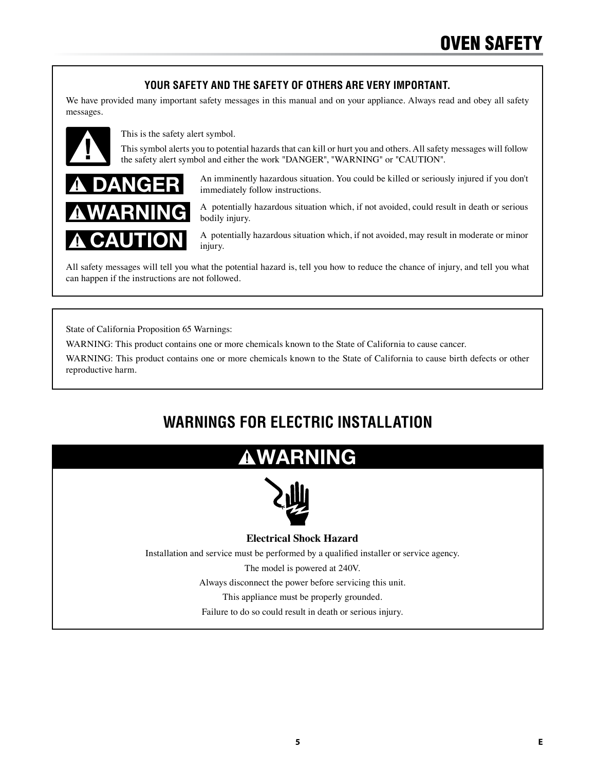## **YOUR SAFETY AND THE SAFETY OF OTHERS ARE VERY IMPORTANT.**

We have provided many important safety messages in this manual and on your appliance. Always read and obey all safety messages.



This is the safety alert symbol.

This symbol alerts you to potential hazards that can kill or hurt you and others. All safety messages will follow the safety alert symbol and either the work "DANGER", "WARNING" or "CAUTION".



An imminently hazardous situation. You could be killed or seriously injured if you don't immediately follow instructions.

A potentially hazardous situation which, if not avoided, could result in death or serious bodily injury.

A potentially hazardous situation which, if not avoided, may result in moderate or minor injury.

All safety messages will tell you what the potential hazard is, tell you how to reduce the chance of injury, and tell you what can happen if the instructions are not followed.

State of California Proposition 65 Warnings:

WARNING: This product contains one or more chemicals known to the State of California to cause cancer.

WARNING: This product contains one or more chemicals known to the State of California to cause birth defects or other reproductive harm.

## **WARNINGS FOR ELECTRIC INSTALLATION**

## WARNING



### **Electrical Shock Hazard**

Installation and service must be performed by a qualified installer or service agency.

The model is powered at 240V.

Always disconnect the power before servicing this unit.

This appliance must be properly grounded.

Failure to do so could result in death or serious injury.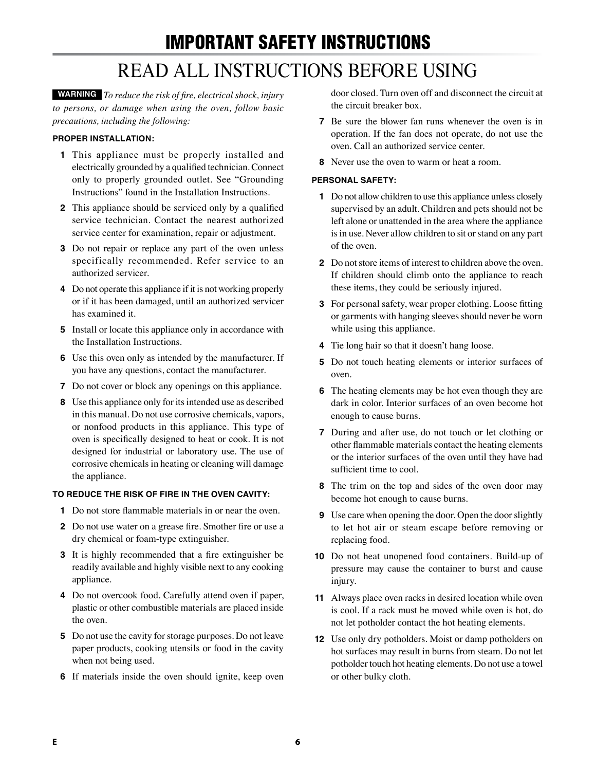# IMPORTANT SAFETY INSTRUCTIONS

## READ ALL INSTRUCTIONS BEFORE USING

**WARNING** *To reduce the risk of fire, electrical shock, injury to persons, or damage when using the oven, follow basic precautions, including the following:*

#### **PROPER INSTALLATION:**

- **1** This appliance must be properly installed and electrically grounded by a qualified technician. Connect only to properly grounded outlet. See "Grounding Instructions" found in the Installation Instructions.
- **2** This appliance should be serviced only by a qualified service technician. Contact the nearest authorized service center for examination, repair or adjustment.
- **3** Do not repair or replace any part of the oven unless specifically recommended. Refer service to an authorized servicer.
- **4** Do not operate this appliance if it is not working properly or if it has been damaged, until an authorized servicer has examined it.
- **5** Install or locate this appliance only in accordance with the Installation Instructions.
- **6** Use this oven only as intended by the manufacturer. If you have any questions, contact the manufacturer.
- **7** Do not cover or block any openings on this appliance.
- **8** Use this appliance only for its intended use as described in this manual. Do not use corrosive chemicals, vapors, or nonfood products in this appliance. This type of oven is specifically designed to heat or cook. It is not designed for industrial or laboratory use. The use of corrosive chemicals in heating or cleaning will damage the appliance.

#### **TO REDUCE THE RISK OF FIRE IN THE OVEN CAVITY:**

- **1** Do not store flammable materials in or near the oven.
- **2** Do not use water on a grease fire. Smother fire or use a dry chemical or foam-type extinguisher.
- **3** It is highly recommended that a fire extinguisher be readily available and highly visible next to any cooking appliance.
- **4** Do not overcook food. Carefully attend oven if paper, plastic or other combustible materials are placed inside the oven.
- **5** Do not use the cavity for storage purposes. Do not leave paper products, cooking utensils or food in the cavity when not being used.
- **6** If materials inside the oven should ignite, keep oven

door closed. Turn oven off and disconnect the circuit at the circuit breaker box.

- **7** Be sure the blower fan runs whenever the oven is in operation. If the fan does not operate, do not use the oven. Call an authorized service center.
- **8** Never use the oven to warm or heat a room.

#### **PERSONAL SAFETY:**

- **1** Do not allow children to use this appliance unless closely supervised by an adult. Children and pets should not be left alone or unattended in the area where the appliance is in use. Never allow children to sit or stand on any part of the oven.
- **2** Do not store items of interest to children above the oven. If children should climb onto the appliance to reach these items, they could be seriously injured.
- **3** For personal safety, wear proper clothing. Loose fitting or garments with hanging sleeves should never be worn while using this appliance.
- **4** Tie long hair so that it doesn't hang loose.
- **5** Do not touch heating elements or interior surfaces of oven.
- **6** The heating elements may be hot even though they are dark in color. Interior surfaces of an oven become hot enough to cause burns.
- **7** During and after use, do not touch or let clothing or other flammable materials contact the heating elements or the interior surfaces of the oven until they have had sufficient time to cool.
- **8** The trim on the top and sides of the oven door may become hot enough to cause burns.
- **9** Use care when opening the door. Open the door slightly to let hot air or steam escape before removing or replacing food.
- **10** Do not heat unopened food containers. Build-up of pressure may cause the container to burst and cause injury.
- **11** Always place oven racks in desired location while oven is cool. If a rack must be moved while oven is hot, do not let potholder contact the hot heating elements.
- **12** Use only dry potholders. Moist or damp potholders on hot surfaces may result in burns from steam. Do not let potholder touch hot heating elements. Do not use a towel or other bulky cloth.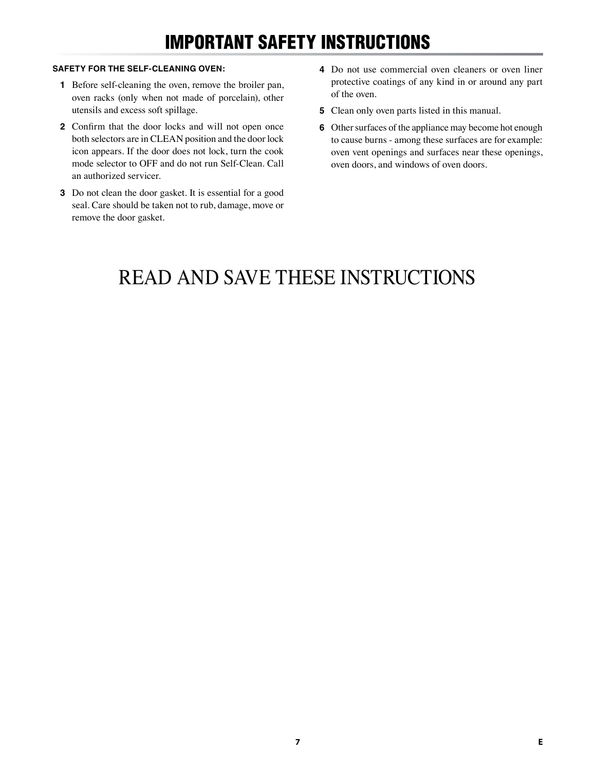## IMPORTANT SAFETY INSTRUCTIONS

#### **SAFETY FOR THE SELF-CLEANING OVEN:**

- **1** Before self-cleaning the oven, remove the broiler pan, oven racks (only when not made of porcelain), other utensils and excess soft spillage.
- **2** Confirm that the door locks and will not open once both selectors are in CLEAN position and the door lock icon appears. If the door does not lock, turn the cook mode selector to OFF and do not run Self-Clean. Call an authorized servicer.
- **3** Do not clean the door gasket. It is essential for a good seal. Care should be taken not to rub, damage, move or remove the door gasket.
- **4** Do not use commercial oven cleaners or oven liner protective coatings of any kind in or around any part of the oven.
- **5** Clean only oven parts listed in this manual.
- **6** Other surfaces of the appliance may become hot enough to cause burns - among these surfaces are for example: oven vent openings and surfaces near these openings, oven doors, and windows of oven doors.

## READ AND SAVE THESE INSTRUCTIONS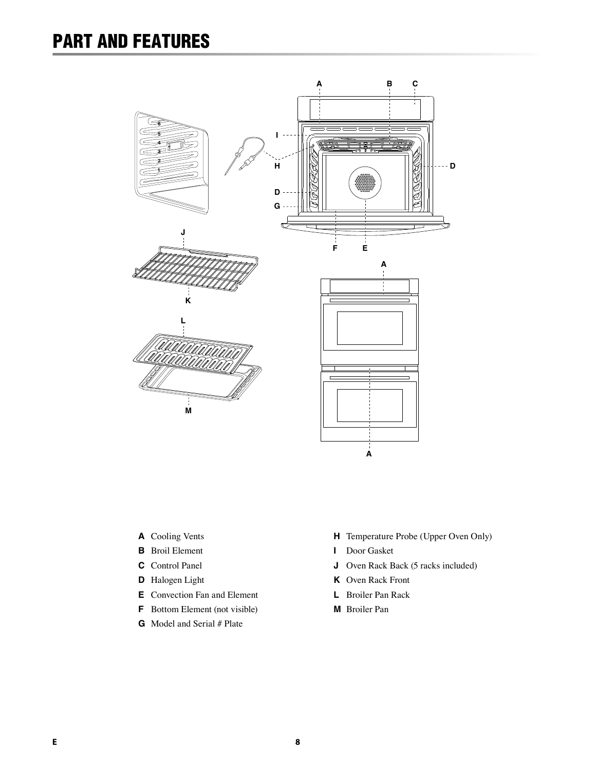## PART AND FEATURES







**J**



- **A** Cooling Vents
- **B** Broil Element
- **C** Control Panel
- **D** Halogen Light
- **E** Convection Fan and Element
- **F** Bottom Element (not visible)
- **G** Model and Serial # Plate
- **H** Temperature Probe (Upper Oven Only)
- **I** Door Gasket
- **J** Oven Rack Back (5 racks included)
- **K** Oven Rack Front
- **L** Broiler Pan Rack
- **M** Broiler Pan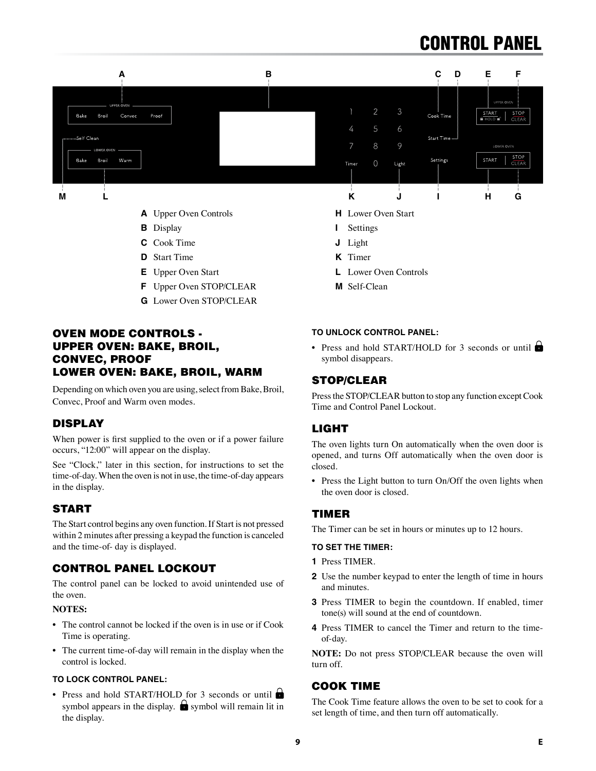## CONTROL PANEL



- 
- **B** Display
- **C** Cook Time
- **D** Start Time
- **E** Upper Oven Start
- **F** Upper Oven STOP/CLEAR
- **G** Lower Oven STOP/CLEAR

### OVEN MODE CONTROLS - UPPER OVEN: BAKE, BROIL, CONVEC, PROOF LOWER OVEN: BAKE, BROIL, WARM

Depending on which oven you are using, select from Bake, Broil, Convec, Proof and Warm oven modes.

### DISPLAY

When power is first supplied to the oven or if a power failure occurs, "12:00" will appear on the display.

See "Clock," later in this section, for instructions to set the time-of-day. When the oven is not in use, the time-of-day appears in the display.

## **START**

The Start control begins any oven function. If Start is not pressed within 2 minutes after pressing a keypad the function is canceled and the time-of- day is displayed.

### CONTROL PANEL LOCKOUT

The control panel can be locked to avoid unintended use of the oven.

#### **NOTES:**

- The control cannot be locked if the oven is in use or if Cook Time is operating.
- The current time-of-day will remain in the display when the control is locked.

#### **TO LOCK CONTROL PANEL:**

• Press and hold START/HOLD for 3 seconds or until symbol appears in the display.  $\bigcirc$  symbol will remain lit in the display.

- **H** Lower Oven Start
- **I** Settings
- **J** Light
- **K** Timer
- **L** Lower Oven Controls
- **M** Self-Clean

#### **TO UNLOCK CONTROL PANEL:**

• Press and hold START/HOLD for 3 seconds or until symbol disappears.

### STOP/CLEAR

Press the STOP/CLEAR button to stop any function except Cook Time and Control Panel Lockout.

### LIGHT

The oven lights turn On automatically when the oven door is opened, and turns Off automatically when the oven door is closed.

• Press the Light button to turn On/Off the oven lights when the oven door is closed.

#### TIMER

The Timer can be set in hours or minutes up to 12 hours.

#### **TO SET THE TIMER:**

- **1** Press TIMER.
- **2** Use the number keypad to enter the length of time in hours and minutes.
- **3** Press TIMER to begin the countdown. If enabled, timer tone(s) will sound at the end of countdown.
- **4** Press TIMER to cancel the Timer and return to the timeof-day.

**NOTE:** Do not press STOP/CLEAR because the oven will turn off.

### COOK TIME

The Cook Time feature allows the oven to be set to cook for a set length of time, and then turn off automatically.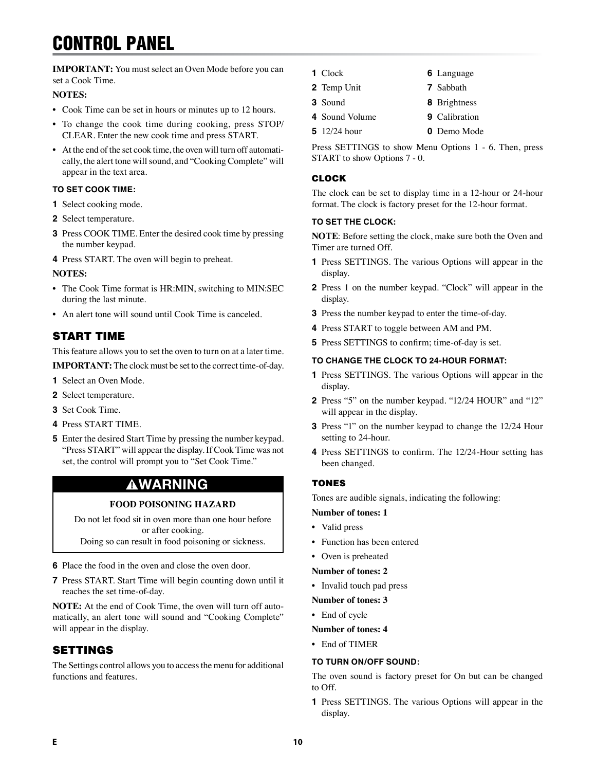## CONTROL PANEL

**IMPORTANT:** You must select an Oven Mode before you can set a Cook Time.

#### **NOTES:**

- Cook Time can be set in hours or minutes up to 12 hours.
- To change the cook time during cooking, press STOP/ CLEAR. Enter the new cook time and press START.
- At the end of the set cook time, the oven will turn off automatically, the alert tone will sound, and "Cooking Complete" will appear in the text area.

#### **TO SET COOK TIME:**

- **1** Select cooking mode.
- **2** Select temperature.
- **3** Press COOK TIME. Enter the desired cook time by pressing the number keypad.
- **4** Press START. The oven will begin to preheat.

#### **NOTES:**

- The Cook Time format is HR:MIN, switching to MIN:SEC during the last minute.
- An alert tone will sound until Cook Time is canceled.

## START TIME

This feature allows you to set the oven to turn on at a later time. **IMPORTANT:** The clock must be set to the correct time-of-day.

- **1** Select an Oven Mode.
- **2** Select temperature.
- **3** Set Cook Time.
- **4** Press START TIME.
- **5** Enter the desired Start Time by pressing the number keypad. "Press START" will appear the display. If Cook Time was not set, the control will prompt you to "Set Cook Time."

## WARNING

#### **FOOD POISONING HAZARD**

Do not let food sit in oven more than one hour before or after cooking.

Doing so can result in food poisoning or sickness.

- **6** Place the food in the oven and close the oven door.
- **7** Press START. Start Time will begin counting down until it reaches the set time-of-day.

**NOTE:** At the end of Cook Time, the oven will turn off automatically, an alert tone will sound and "Cooking Complete" will appear in the display.

## SETTINGS

The Settings control allows you to access the menu for additional functions and features.

- **1** Clock
- **2** Temp Unit **7** Sabbath
- **3** Sound
- **4** Sound Volume **9** Calibration
- **5** 12/24 hour **0** Demo Mode

Press SETTINGS to show Menu Options 1 - 6. Then, press START to show Options 7 - 0.

#### CLOCK

The clock can be set to display time in a 12-hour or 24-hour format. The clock is factory preset for the 12-hour format.

#### **TO SET THE CLOCK:**

**NOTE**: Before setting the clock, make sure both the Oven and Timer are turned Off.

- **1** Press SETTINGS. The various Options will appear in the display.
- **2** Press 1 on the number keypad. "Clock" will appear in the display.
- **3** Press the number keypad to enter the time-of-day.
- **4** Press START to toggle between AM and PM.
- **5** Press SETTINGS to confirm; time-of-day is set.

#### **TO CHANGE THE CLOCK TO 24-HOUR FORMAT:**

- **1** Press SETTINGS. The various Options will appear in the display.
- **2** Press "5" on the number keypad. "12/24 HOUR" and "12" will appear in the display.
- **3** Press "1" on the number keypad to change the 12/24 Hour setting to 24-hour.
- **4** Press SETTINGS to confirm. The 12/24-Hour setting has been changed.

#### **TONES**

Tones are audible signals, indicating the following:

- **Number of tones: 1**
- Valid press
- Function has been entered
- Oven is preheated

#### **Number of tones: 2**

• Invalid touch pad press

#### **Number of tones: 3**

• End of cycle

#### **Number of tones: 4**

• End of TIMER

#### **TO TURN ON/OFF SOUND:**

The oven sound is factory preset for On but can be changed to Off.

**1** Press SETTINGS. The various Options will appear in the display.

**6** Language

**8** Brightness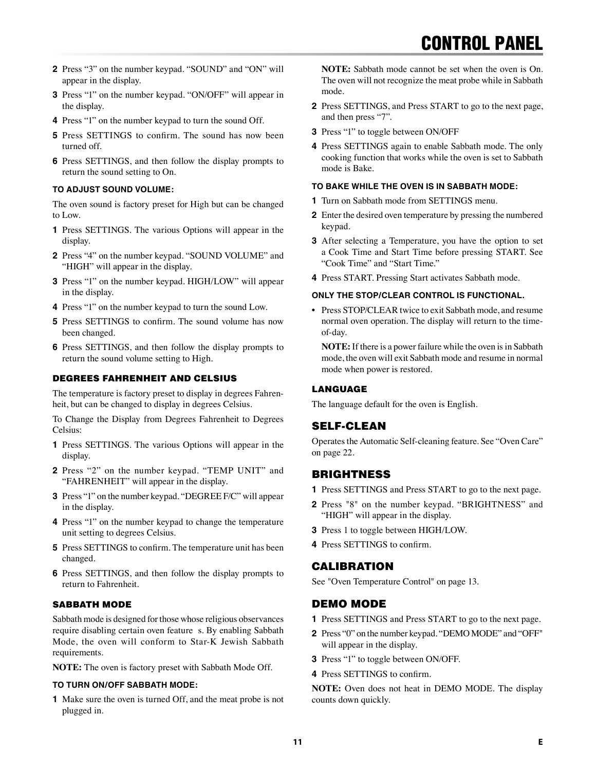- **2** Press "3" on the number keypad. "SOUND" and "ON" will appear in the display.
- **3** Press "1" on the number keypad. "ON/OFF" will appear in the display.
- **4** Press "1" on the number keypad to turn the sound Off.
- **5** Press SETTINGS to confirm. The sound has now been turned off.
- **6** Press SETTINGS, and then follow the display prompts to return the sound setting to On.

#### **TO ADJUST SOUND VOLUME:**

The oven sound is factory preset for High but can be changed to Low.

- **1** Press SETTINGS. The various Options will appear in the display.
- **2** Press "4" on the number keypad. "SOUND VOLUME" and "HIGH" will appear in the display.
- **3** Press "1" on the number keypad. HIGH/LOW" will appear in the display.
- **4** Press "1" on the number keypad to turn the sound Low.
- **5** Press SETTINGS to confirm. The sound volume has now been changed.
- **6** Press SETTINGS, and then follow the display prompts to return the sound volume setting to High.

#### DEGREES FAHRENHEIT AND CELSIUS

The temperature is factory preset to display in degrees Fahrenheit, but can be changed to display in degrees Celsius.

To Change the Display from Degrees Fahrenheit to Degrees Celsius:

- **1** Press SETTINGS. The various Options will appear in the display.
- **2** Press "2" on the number keypad. "TEMP UNIT" and "FAHRENHEIT" will appear in the display.
- **3** Press "1" on the number keypad. "DEGREE F/C" will appear in the display.
- **4** Press "1" on the number keypad to change the temperature unit setting to degrees Celsius.
- **5** Press SETTINGS to confirm. The temperature unit has been changed.
- **6** Press SETTINGS, and then follow the display prompts to return to Fahrenheit.

#### SABBATH MODE

Sabbath mode is designed for those whose religious observances require disabling certain oven feature s. By enabling Sabbath Mode, the oven will conform to Star-K Jewish Sabbath requirements.

**NOTE:** The oven is factory preset with Sabbath Mode Off.

#### **TO TURN ON/OFF SABBATH MODE:**

**1** Make sure the oven is turned Off, and the meat probe is not plugged in.

**NOTE:** Sabbath mode cannot be set when the oven is On. The oven will not recognize the meat probe while in Sabbath mode.

- **2** Press SETTINGS, and Press START to go to the next page, and then press "7".
- **3** Press "1" to toggle between ON/OFF
- **4** Press SETTINGS again to enable Sabbath mode. The only cooking function that works while the oven is set to Sabbath mode is Bake.

#### **TO BAKE WHILE THE OVEN IS IN SABBATH MODE:**

- **1** Turn on Sabbath mode from SETTINGS menu.
- **2** Enter the desired oven temperature by pressing the numbered keypad.
- **3** After selecting a Temperature, you have the option to set a Cook Time and Start Time before pressing START. See "Cook Time" and "Start Time."
- **4** Press START. Pressing Start activates Sabbath mode.

#### **ONLY THE STOP/CLEAR CONTROL IS FUNCTIONAL.**

• Press STOP/CLEAR twice to exit Sabbath mode, and resume normal oven operation. The display will return to the timeof-day.

**NOTE:** If there is a power failure while the oven is in Sabbath mode, the oven will exit Sabbath mode and resume in normal mode when power is restored.

#### LANGUAGE

The language default for the oven is English.

### SELF-CLEAN

Operates the Automatic Self-cleaning feature. See "Oven Care" on page 22.

### BRIGHTNESS

- **1** Press SETTINGS and Press START to go to the next page.
- **2** Press "8" on the number keypad. "BRIGHTNESS" and "HIGH" will appear in the display.
- **3** Press 1 to toggle between HIGH/LOW.
- **4** Press SETTINGS to confirm.

### CALIBRATION

See "Oven Temperature Control" on page 13.

#### DEMO MODE

- **1** Press SETTINGS and Press START to go to the next page.
- **2** Press "0" on the number keypad. "DEMO MODE" and "OFF" will appear in the display.
- **3** Press "1" to toggle between ON/OFF.
- **4** Press SETTINGS to confirm.

**NOTE:** Oven does not heat in DEMO MODE. The display counts down quickly.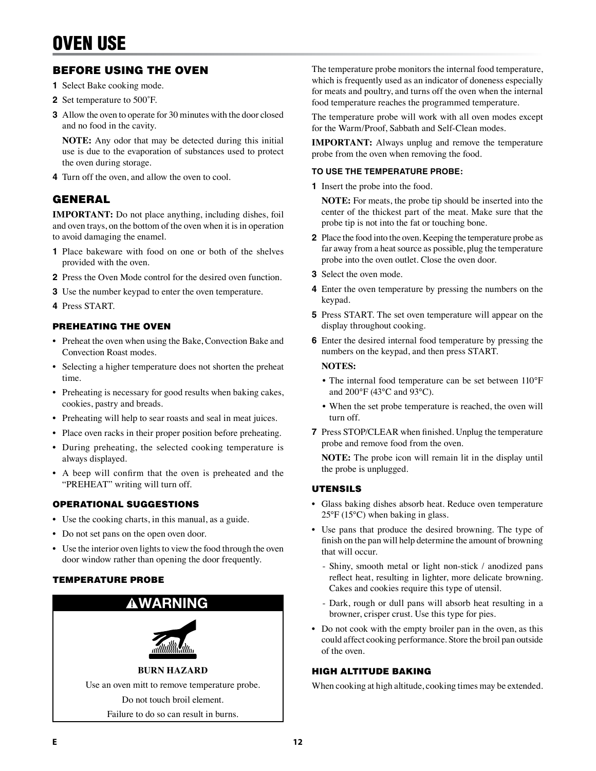## BEFORE USING THE OVEN

- **1** Select Bake cooking mode.
- **2** Set temperature to 500˚F.
- **3** Allow the oven to operate for 30 minutes with the door closed and no food in the cavity.

**NOTE:** Any odor that may be detected during this initial use is due to the evaporation of substances used to protect the oven during storage.

**4** Turn off the oven, and allow the oven to cool.

### GENERAL

**IMPORTANT:** Do not place anything, including dishes, foil and oven trays, on the bottom of the oven when it is in operation to avoid damaging the enamel.

- **1** Place bakeware with food on one or both of the shelves provided with the oven.
- **2** Press the Oven Mode control for the desired oven function.
- **3** Use the number keypad to enter the oven temperature.
- **4** Press START.

#### PREHEATING THE OVEN

- Preheat the oven when using the Bake, Convection Bake and Convection Roast modes.
- Selecting a higher temperature does not shorten the preheat time.
- Preheating is necessary for good results when baking cakes, cookies, pastry and breads.
- Preheating will help to sear roasts and seal in meat juices.
- Place oven racks in their proper position before preheating.
- During preheating, the selected cooking temperature is always displayed.
- A beep will confirm that the oven is preheated and the "PREHEAT" writing will turn off.

#### OPERATIONAL SUGGESTIONS

- Use the cooking charts, in this manual, as a guide.
- Do not set pans on the open oven door.
- Use the interior oven lights to view the food through the oven door window rather than opening the door frequently.

#### TEMPERATURE PROBE



The temperature probe monitors the internal food temperature, which is frequently used as an indicator of doneness especially for meats and poultry, and turns off the oven when the internal food temperature reaches the programmed temperature.

The temperature probe will work with all oven modes except for the Warm/Proof, Sabbath and Self-Clean modes.

**IMPORTANT:** Always unplug and remove the temperature probe from the oven when removing the food.

#### **TO USE THE TEMPERATURE PROBE:**

**1** Insert the probe into the food.

**NOTE:** For meats, the probe tip should be inserted into the center of the thickest part of the meat. Make sure that the probe tip is not into the fat or touching bone.

- **2** Place the food into the oven. Keeping the temperature probe as far away from a heat source as possible, plug the temperature probe into the oven outlet. Close the oven door.
- **3** Select the oven mode.
- **4** Enter the oven temperature by pressing the numbers on the keypad.
- **5** Press START. The set oven temperature will appear on the display throughout cooking.
- **6** Enter the desired internal food temperature by pressing the numbers on the keypad, and then press START.

#### **NOTES:**

- The internal food temperature can be set between 110°F and 200°F (43°C and 93°C).
- When the set probe temperature is reached, the oven will turn off.
- **7** Press STOP/CLEAR when finished. Unplug the temperature probe and remove food from the oven.

**NOTE:** The probe icon will remain lit in the display until the probe is unplugged.

#### UTENSILS

- Glass baking dishes absorb heat. Reduce oven temperature 25°F (15°C) when baking in glass.
- Use pans that produce the desired browning. The type of finish on the pan will help determine the amount of browning that will occur.
	- Shiny, smooth metal or light non-stick / anodized pans reflect heat, resulting in lighter, more delicate browning. Cakes and cookies require this type of utensil.
	- Dark, rough or dull pans will absorb heat resulting in a browner, crisper crust. Use this type for pies.
- Do not cook with the empty broiler pan in the oven, as this could affect cooking performance. Store the broil pan outside of the oven.

#### HIGH ALTITUDE BAKING

When cooking at high altitude, cooking times may be extended.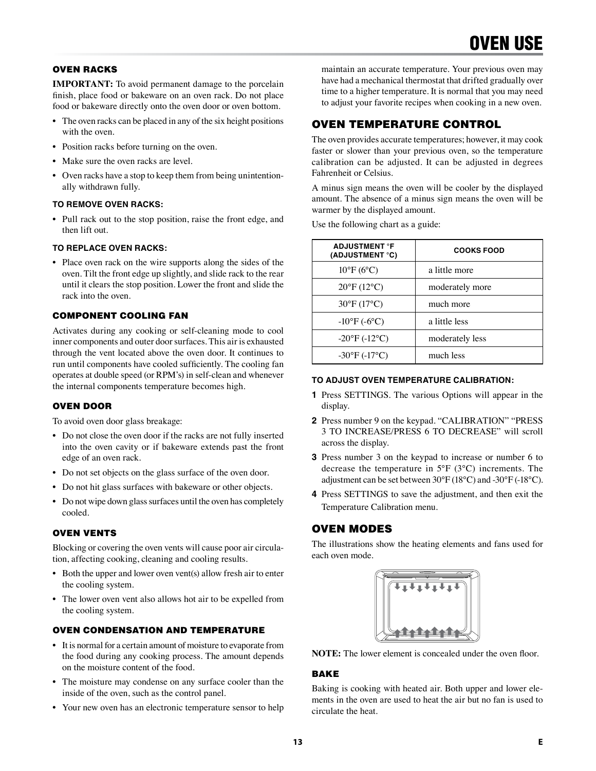#### OVEN RACKS

**IMPORTANT:** To avoid permanent damage to the porcelain finish, place food or bakeware on an oven rack. Do not place food or bakeware directly onto the oven door or oven bottom.

- The oven racks can be placed in any of the six height positions with the oven.
- Position racks before turning on the oven.
- Make sure the oven racks are level.
- Oven racks have a stop to keep them from being unintentionally withdrawn fully.

#### **TO REMOVE OVEN RACKS:**

• Pull rack out to the stop position, raise the front edge, and then lift out.

#### **TO REPLACE OVEN RACKS:**

• Place oven rack on the wire supports along the sides of the oven. Tilt the front edge up slightly, and slide rack to the rear until it clears the stop position. Lower the front and slide the rack into the oven.

#### COMPONENT COOLING FAN

Activates during any cooking or self-cleaning mode to cool inner components and outer door surfaces. This air is exhausted through the vent located above the oven door. It continues to run until components have cooled sufficiently. The cooling fan operates at double speed (or RPM's) in self-clean and whenever the internal components temperature becomes high.

#### OVEN DOOR

To avoid oven door glass breakage:

- Do not close the oven door if the racks are not fully inserted into the oven cavity or if bakeware extends past the front edge of an oven rack.
- Do not set objects on the glass surface of the oven door.
- Do not hit glass surfaces with bakeware or other objects.
- Do not wipe down glass surfaces until the oven has completely cooled.

#### OVEN VENTS

Blocking or covering the oven vents will cause poor air circulation, affecting cooking, cleaning and cooling results.

- Both the upper and lower oven vent(s) allow fresh air to enter the cooling system.
- The lower oven vent also allows hot air to be expelled from the cooling system.

#### OVEN CONDENSATION AND TEMPERATURE

- It is normal for a certain amount of moisture to evaporate from the food during any cooking process. The amount depends on the moisture content of the food.
- The moisture may condense on any surface cooler than the inside of the oven, such as the control panel.
- Your new oven has an electronic temperature sensor to help

maintain an accurate temperature. Your previous oven may have had a mechanical thermostat that drifted gradually over time to a higher temperature. It is normal that you may need to adjust your favorite recipes when cooking in a new oven.

### OVEN TEMPERATURE CONTROL

The oven provides accurate temperatures; however, it may cook faster or slower than your previous oven, so the temperature calibration can be adjusted. It can be adjusted in degrees Fahrenheit or Celsius.

A minus sign means the oven will be cooler by the displayed amount. The absence of a minus sign means the oven will be warmer by the displayed amount.

Use the following chart as a guide:

| <b>ADJUSTMENT °F</b><br>(ADJUSTMENT °C) | <b>COOKS FOOD</b> |
|-----------------------------------------|-------------------|
| $10^{\circ}$ F (6°C)                    | a little more     |
| $20^{\circ}$ F (12 $^{\circ}$ C)        | moderately more   |
| $30^{\circ}F(17^{\circ}C)$              | much more         |
| $-10^{\circ}F(-6^{\circ}C)$             | a little less     |
| $-20^{\circ}F(-12^{\circ}C)$            | moderately less   |
| $-30^{\circ}F(-17^{\circ}C)$            | much less         |

#### **TO ADJUST OVEN TEMPERATURE CALIBRATION:**

- **1** Press SETTINGS. The various Options will appear in the display.
- **2** Press number 9 on the keypad. "CALIBRATION" "PRESS 3 TO INCREASE/PRESS 6 TO DECREASE" will scroll across the display.
- **3** Press number 3 on the keypad to increase or number 6 to decrease the temperature in 5°F (3°C) increments. The adjustment can be set between 30°F (18°C) and -30°F (-18°C).
- **4** Press SETTINGS to save the adjustment, and then exit the Temperature Calibration menu.

#### OVEN MODES

The illustrations show the heating elements and fans used for each oven mode.



**NOTE:** The lower element is concealed under the oven floor.

#### BAKE

Baking is cooking with heated air. Both upper and lower elements in the oven are used to heat the air but no fan is used to circulate the heat.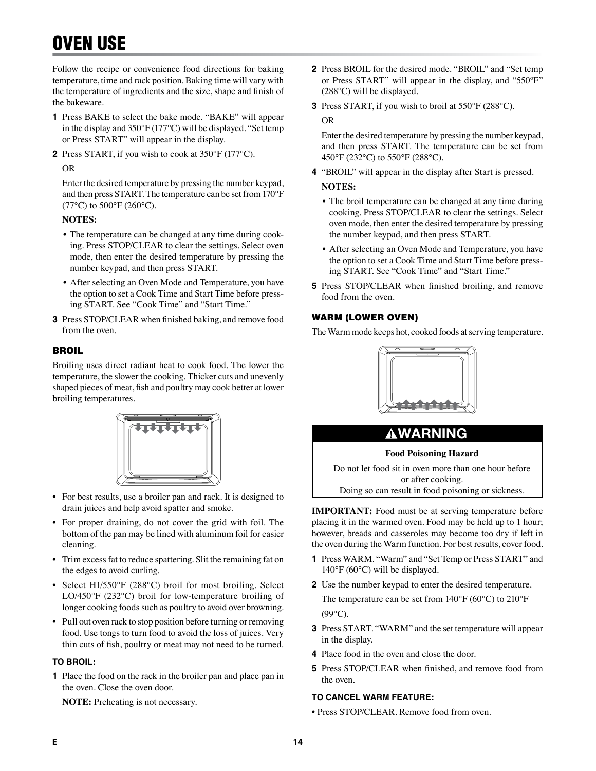## OVEN USE

Follow the recipe or convenience food directions for baking temperature, time and rack position. Baking time will vary with the temperature of ingredients and the size, shape and finish of the bakeware.

- **1** Press BAKE to select the bake mode. "BAKE" will appear in the display and 350°F (177°C) will be displayed. "Set temp or Press START" will appear in the display.
- **2** Press START, if you wish to cook at 350°F (177°C).

#### OR

Enter the desired temperature by pressing the number keypad, and then press START. The temperature can be set from 170°F  $(77^{\circ}C)$  to  $500^{\circ}F(260^{\circ}C)$ .

#### **NOTES:**

- The temperature can be changed at any time during cooking. Press STOP/CLEAR to clear the settings. Select oven mode, then enter the desired temperature by pressing the number keypad, and then press START.
- After selecting an Oven Mode and Temperature, you have the option to set a Cook Time and Start Time before pressing START. See "Cook Time" and "Start Time."
- **3** Press STOP/CLEAR when finished baking, and remove food from the oven.

#### **BROIL**

Broiling uses direct radiant heat to cook food. The lower the temperature, the slower the cooking. Thicker cuts and unevenly shaped pieces of meat, fish and poultry may cook better at lower broiling temperatures.



- For best results, use a broiler pan and rack. It is designed to drain juices and help avoid spatter and smoke.
- For proper draining, do not cover the grid with foil. The bottom of the pan may be lined with aluminum foil for easier cleaning.
- Trim excess fat to reduce spattering. Slit the remaining fat on the edges to avoid curling.
- Select HI/550°F (288°C) broil for most broiling. Select LO/450°F (232°C) broil for low-temperature broiling of longer cooking foods such as poultry to avoid over browning.
- Pull out oven rack to stop position before turning or removing food. Use tongs to turn food to avoid the loss of juices. Very thin cuts of fish, poultry or meat may not need to be turned.

#### **TO BROIL:**

**1** Place the food on the rack in the broiler pan and place pan in the oven. Close the oven door.

**NOTE:** Preheating is not necessary.

- **2** Press BROIL for the desired mode. "BROIL" and "Set temp or Press START" will appear in the display, and "550ºF" (288ºC) will be displayed.
- **3** Press START, if you wish to broil at 550°F (288°C).

#### OR

Enter the desired temperature by pressing the number keypad, and then press START. The temperature can be set from 450°F (232°C) to 550°F (288°C).

- **4** "BROIL" will appear in the display after Start is pressed. **NOTES:**
	- The broil temperature can be changed at any time during cooking. Press STOP/CLEAR to clear the settings. Select oven mode, then enter the desired temperature by pressing the number keypad, and then press START.
	- After selecting an Oven Mode and Temperature, you have the option to set a Cook Time and Start Time before pressing START. See "Cook Time" and "Start Time."
- **5** Press STOP/CLEAR when finished broiling, and remove food from the oven.

#### WARM (LOWER OVEN)

The Warm mode keeps hot, cooked foods at serving temperature.



## **AWARNING**

#### **Food Poisoning Hazard**

Do not let food sit in oven more than one hour before or after cooking.

Doing so can result in food poisoning or sickness.

**IMPORTANT:** Food must be at serving temperature before placing it in the warmed oven. Food may be held up to 1 hour; however, breads and casseroles may become too dry if left in the oven during the Warm function. For best results, cover food.

- **1** Press WARM. "Warm" and "Set Temp or Press START" and 140°F (60°C) will be displayed.
- **2** Use the number keypad to enter the desired temperature. The temperature can be set from 140°F (60°C) to 210°F  $(99^{\circ}C)$ .
- **3** Press START. "WARM" and the set temperature will appear in the display.
- **4** Place food in the oven and close the door.
- **5** Press STOP/CLEAR when finished, and remove food from the oven.

#### **TO CANCEL WARM FEATURE:**

• Press STOP/CLEAR. Remove food from oven.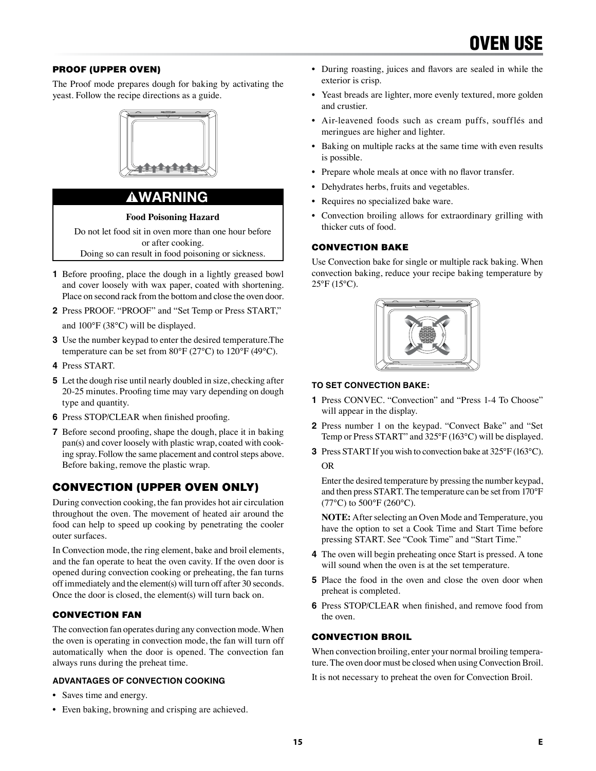#### PROOF (UPPER OVEN)

The Proof mode prepares dough for baking by activating the yeast. Follow the recipe directions as a guide.



## WARNING

**Food Poisoning Hazard**

Do not let food sit in oven more than one hour before or after cooking.

Doing so can result in food poisoning or sickness.

- **1** Before proofing, place the dough in a lightly greased bowl and cover loosely with wax paper, coated with shortening. Place on second rack from the bottom and close the oven door.
- **2** Press PROOF. "PROOF" and "Set Temp or Press START," and 100°F (38°C) will be displayed.
- **3** Use the number keypad to enter the desired temperature.The temperature can be set from 80°F (27°C) to 120°F (49°C).
- **4** Press START.
- **5** Let the dough rise until nearly doubled in size, checking after 20-25 minutes. Proofing time may vary depending on dough type and quantity.
- **6** Press STOP/CLEAR when finished proofing.
- **7** Before second proofing, shape the dough, place it in baking pan(s) and cover loosely with plastic wrap, coated with cooking spray. Follow the same placement and control steps above. Before baking, remove the plastic wrap.

## CONVECTION (UPPER OVEN ONLY)

During convection cooking, the fan provides hot air circulation throughout the oven. The movement of heated air around the food can help to speed up cooking by penetrating the cooler outer surfaces.

In Convection mode, the ring element, bake and broil elements, and the fan operate to heat the oven cavity. If the oven door is opened during convection cooking or preheating, the fan turns off immediately and the element(s) will turn off after 30 seconds. Once the door is closed, the element(s) will turn back on.

#### CONVECTION FAN

The convection fan operates during any convection mode. When the oven is operating in convection mode, the fan will turn off automatically when the door is opened. The convection fan always runs during the preheat time.

#### **ADVANTAGES OF CONVECTION COOKING**

- Saves time and energy.
- Even baking, browning and crisping are achieved.
- During roasting, juices and flavors are sealed in while the exterior is crisp.
- Yeast breads are lighter, more evenly textured, more golden and crustier.
- Air-leavened foods such as cream puffs, soufflés and meringues are higher and lighter.
- Baking on multiple racks at the same time with even results is possible.
- Prepare whole meals at once with no flavor transfer.
- Dehydrates herbs, fruits and vegetables.
- Requires no specialized bake ware.
- Convection broiling allows for extraordinary grilling with thicker cuts of food.

#### CONVECTION BAKE

Use Convection bake for single or multiple rack baking. When convection baking, reduce your recipe baking temperature by  $25^{\circ}$ F (15°C).



#### **TO SET CONVECTION BAKE:**

- **1** Press CONVEC. "Convection" and "Press 1-4 To Choose" will appear in the display.
- **2** Press number 1 on the keypad. "Convect Bake" and "Set Temp or Press START" and 325°F (163°C) will be displayed.
- **3** Press START If you wish to convection bake at 325°F (163°C). OR

Enter the desired temperature by pressing the number keypad, and then press START. The temperature can be set from 170°F  $(77^{\circ}C)$  to  $500^{\circ}F(260^{\circ}C)$ .

**NOTE:** After selecting an Oven Mode and Temperature, you have the option to set a Cook Time and Start Time before pressing START. See "Cook Time" and "Start Time."

- **4** The oven will begin preheating once Start is pressed. A tone will sound when the oven is at the set temperature.
- **5** Place the food in the oven and close the oven door when preheat is completed.
- **6** Press STOP/CLEAR when finished, and remove food from the oven.

#### CONVECTION BROIL

When convection broiling, enter your normal broiling temperature. The oven door must be closed when using Convection Broil.

It is not necessary to preheat the oven for Convection Broil.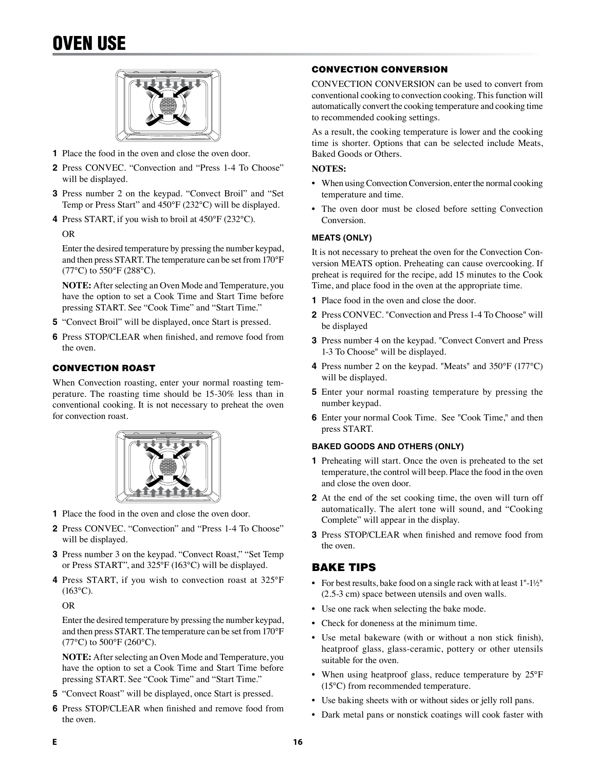## OVEN USE



- **1** Place the food in the oven and close the oven door.
- **2** Press CONVEC. "Convection and "Press 1-4 To Choose" will be displayed.
- **3** Press number 2 on the keypad. "Convect Broil" and "Set Temp or Press Start" and 450°F (232°C) will be displayed.
- **4** Press START, if you wish to broil at 450°F (232°C).

#### OR

Enter the desired temperature by pressing the number keypad, and then press START. The temperature can be set from 170°F  $(77^{\circ}C)$  to 550°F (288°C).

**NOTE:** After selecting an Oven Mode and Temperature, you have the option to set a Cook Time and Start Time before pressing START. See "Cook Time" and "Start Time."

- **5** "Convect Broil" will be displayed, once Start is pressed.
- **6** Press STOP/CLEAR when finished, and remove food from the oven.

#### CONVECTION ROAST

When Convection roasting, enter your normal roasting temperature. The roasting time should be 15-30% less than in conventional cooking. It is not necessary to preheat the oven for convection roast.



- **1** Place the food in the oven and close the oven door.
- **2** Press CONVEC. "Convection" and "Press 1-4 To Choose" will be displayed.
- **3** Press number 3 on the keypad. "Convect Roast," "Set Temp or Press START", and 325°F (163°C) will be displayed.
- **4** Press START, if you wish to convection roast at 325°F  $(163^{\circ}C).$

OR

Enter the desired temperature by pressing the number keypad, and then press START. The temperature can be set from 170°F  $(77^{\circ}C)$  to 500°F (260°C).

**NOTE:** After selecting an Oven Mode and Temperature, you have the option to set a Cook Time and Start Time before pressing START. See "Cook Time" and "Start Time."

- **5** "Convect Roast" will be displayed, once Start is pressed.
- **6** Press STOP/CLEAR when finished and remove food from the oven.

#### CONVECTION CONVERSION

CONVECTION CONVERSION can be used to convert from conventional cooking to convection cooking. This function will automatically convert the cooking temperature and cooking time to recommended cooking settings.

As a result, the cooking temperature is lower and the cooking time is shorter. Options that can be selected include Meats, Baked Goods or Others.

#### **NOTES:**

- When using Convection Conversion, enter the normal cooking temperature and time.
- The oven door must be closed before setting Convection Conversion.

#### **MEATS (ONLY)**

It is not necessary to preheat the oven for the Convection Conversion MEATS option. Preheating can cause overcooking. If preheat is required for the recipe, add 15 minutes to the Cook Time, and place food in the oven at the appropriate time.

- **1** Place food in the oven and close the door.
- **2** Press CONVEC. "Convection and Press 1-4 To Choose" will be displayed
- **3** Press number 4 on the keypad. "Convect Convert and Press 1-3 To Choose" will be displayed.
- **4** Press number 2 on the keypad. "Meats" and 350°F (177°C) will be displayed.
- **5** Enter your normal roasting temperature by pressing the number keypad.
- **6** Enter your normal Cook Time. See "Cook Time," and then press START.

#### **BAKED GOODS AND OTHERS (ONLY)**

- **1** Preheating will start. Once the oven is preheated to the set temperature, the control will beep. Place the food in the oven and close the oven door.
- **2** At the end of the set cooking time, the oven will turn off automatically. The alert tone will sound, and "Cooking Complete" will appear in the display.
- **3** Press STOP/CLEAR when finished and remove food from the oven.

### BAKE TIPS

- For best results, bake food on a single rack with at least 1"-1½" (2.5-3 cm) space between utensils and oven walls.
- Use one rack when selecting the bake mode.
- Check for doneness at the minimum time.
- Use metal bakeware (with or without a non stick finish), heatproof glass, glass-ceramic, pottery or other utensils suitable for the oven.
- When using heatproof glass, reduce temperature by 25°F (15°C) from recommended temperature.
- Use baking sheets with or without sides or jelly roll pans.
- Dark metal pans or nonstick coatings will cook faster with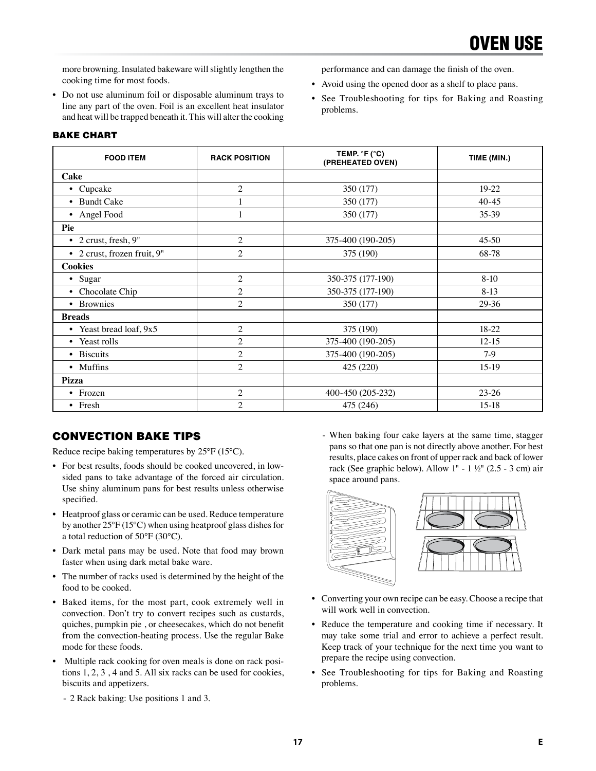more browning. Insulated bakeware will slightly lengthen the cooking time for most foods.

• Do not use aluminum foil or disposable aluminum trays to line any part of the oven. Foil is an excellent heat insulator and heat will be trapped beneath it. This will alter the cooking

### BAKE CHART

| <b>FOOD ITEM</b>             | <b>RACK POSITION</b> | TEMP. $\degree$ F ( $\degree$ C)<br>(PREHEATED OVEN) | TIME (MIN.) |
|------------------------------|----------------------|------------------------------------------------------|-------------|
| Cake                         |                      |                                                      |             |
| • Cupcake                    | $\overline{c}$       | 350 (177)                                            | $19-22$     |
| • Bundt Cake                 |                      | 350 (177)                                            | $40 - 45$   |
| • Angel Food                 | 1                    | 350 (177)                                            | 35-39       |
| Pie                          |                      |                                                      |             |
| $\bullet$ 2 crust, fresh, 9" | $\overline{c}$       | 375-400 (190-205)                                    | $45-50$     |
| • 2 crust, frozen fruit, 9"  | $\overline{c}$       | 375 (190)                                            | 68-78       |
| <b>Cookies</b>               |                      |                                                      |             |
| • Sugar                      | $\overline{c}$       | 350-375 (177-190)                                    | $8-10$      |
| • Chocolate Chip             | $\overline{c}$       | 350-375 (177-190)                                    | $8-13$      |
| • Brownies                   | $\overline{c}$       | 350 (177)                                            | 29-36       |
| <b>Breads</b>                |                      |                                                      |             |
| • Yeast bread loaf, 9x5      | $\overline{c}$       | 375 (190)                                            | 18-22       |
| • Yeast rolls                | $\overline{c}$       | 375-400 (190-205)                                    | $12-15$     |
| • Biscuits                   | $\overline{c}$       | 375-400 (190-205)                                    | $7-9$       |
| • Muffins                    | $\overline{c}$       | 425 (220)                                            | $15-19$     |
| Pizza                        |                      |                                                      |             |
| • Frozen                     | $\overline{c}$       | 400-450 (205-232)                                    | $23 - 26$   |
| • Fresh                      | $\overline{2}$       | 475 (246)                                            | $15-18$     |

problems.

## CONVECTION BAKE TIPS

Reduce recipe baking temperatures by 25°F (15°C).

- For best results, foods should be cooked uncovered, in lowsided pans to take advantage of the forced air circulation. Use shiny aluminum pans for best results unless otherwise specified.
- Heatproof glass or ceramic can be used. Reduce temperature by another 25°F (15°C) when using heatproof glass dishes for a total reduction of 50°F (30°C).
- Dark metal pans may be used. Note that food may brown faster when using dark metal bake ware.
- The number of racks used is determined by the height of the food to be cooked.
- Baked items, for the most part, cook extremely well in convection. Don't try to convert recipes such as custards, quiches, pumpkin pie , or cheesecakes, which do not benefit from the convection-heating process. Use the regular Bake mode for these foods.
- Multiple rack cooking for oven meals is done on rack positions 1, 2, 3 , 4 and 5. All six racks can be used for cookies, biscuits and appetizers.
	- 2 Rack baking: Use positions 1 and 3.

- When baking four cake layers at the same time, stagger pans so that one pan is not directly above another. For best results, place cakes on front of upper rack and back of lower rack (See graphic below). Allow 1" - 1 ½" (2.5 - 3 cm) air space around pans.

performance and can damage the finish of the oven. • Avoid using the opened door as a shelf to place pans. • See Troubleshooting for tips for Baking and Roasting



- Converting your own recipe can be easy. Choose a recipe that will work well in convection.
- Reduce the temperature and cooking time if necessary. It may take some trial and error to achieve a perfect result. Keep track of your technique for the next time you want to prepare the recipe using convection.
- See Troubleshooting for tips for Baking and Roasting problems.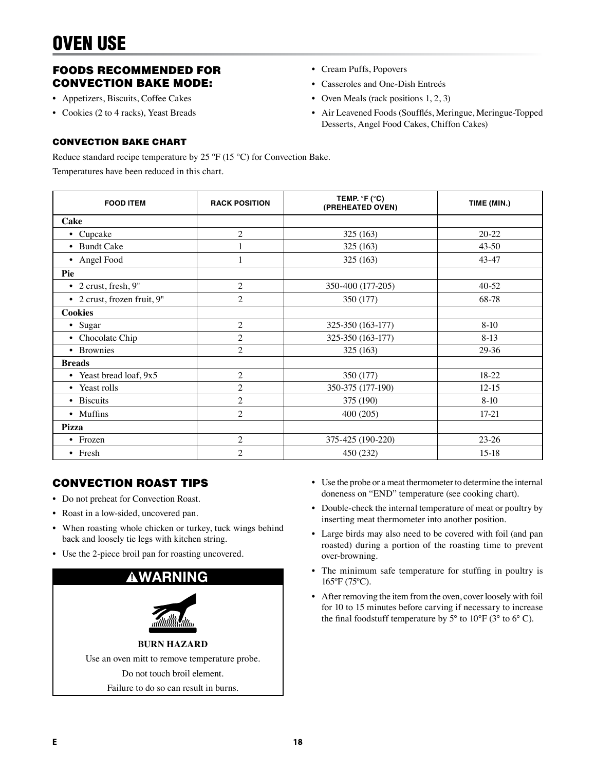## FOODS RECOMMENDED FOR CONVECTION BAKE MODE:

- Appetizers, Biscuits, Coffee Cakes
- Cookies (2 to 4 racks), Yeast Breads
- Cream Puffs, Popovers
- Casseroles and One-Dish Entreés
- Oven Meals (rack positions 1, 2, 3)
- Air Leavened Foods (Soufflés, Meringue, Meringue-Topped Desserts, Angel Food Cakes, Chiffon Cakes)

#### CONVECTION BAKE CHART

Reduce standard recipe temperature by 25 °F (15 °C) for Convection Bake.

Temperatures have been reduced in this chart.

| <b>FOOD ITEM</b>                | <b>RACK POSITION</b> | TEMP. $\degree$ F ( $\degree$ C)<br>(PREHEATED OVEN) | TIME (MIN.) |
|---------------------------------|----------------------|------------------------------------------------------|-------------|
| Cake                            |                      |                                                      |             |
| Cupcake<br>$\bullet$            | $\overline{2}$       | 325 (163)                                            | $20 - 22$   |
| • Bundt Cake                    | 1                    | 325 (163)                                            | $43 - 50$   |
| Angel Food<br>$\bullet$         | $\mathbf{1}$         | 325 (163)                                            | $43 - 47$   |
| Pie                             |                      |                                                      |             |
| 2 crust, fresh, 9"<br>$\bullet$ | $\overline{c}$       | 350-400 (177-205)                                    | 40-52       |
| • 2 crust, frozen fruit, 9"     | $\overline{c}$       | 350 (177)                                            | 68-78       |
| <b>Cookies</b>                  |                      |                                                      |             |
| • Sugar                         | $\overline{c}$       | 325-350 (163-177)                                    | $8-10$      |
| Chocolate Chip<br>$\bullet$     | $\overline{c}$       | 325-350 (163-177)                                    | $8-13$      |
| <b>Brownies</b><br>$\bullet$    | $\overline{c}$       | 325 (163)                                            | 29-36       |
| <b>Breads</b>                   |                      |                                                      |             |
| • Yeast bread loaf, 9x5         | $\overline{c}$       | 350 (177)                                            | $18 - 22$   |
| • Yeast rolls                   | $\overline{c}$       | 350-375 (177-190)                                    | $12 - 15$   |
| • Biscuits                      | $\overline{c}$       | 375 (190)                                            | $8-10$      |
| • Muffins                       | $\overline{c}$       | 400 (205)                                            | $17-21$     |
| Pizza                           |                      |                                                      |             |
| • Frozen                        | $\overline{c}$       | 375-425 (190-220)                                    | $23-26$     |
| • Fresh                         | $\overline{2}$       | 450 (232)                                            | $15-18$     |

## CONVECTION ROAST TIPS

- Do not preheat for Convection Roast.
- Roast in a low-sided, uncovered pan.
- When roasting whole chicken or turkey, tuck wings behind back and loosely tie legs with kitchen string.
- Use the 2-piece broil pan for roasting uncovered.



- Use the probe or a meat thermometer to determine the internal doneness on "END" temperature (see cooking chart).
- Double-check the internal temperature of meat or poultry by inserting meat thermometer into another position.
- Large birds may also need to be covered with foil (and pan roasted) during a portion of the roasting time to prevent over-browning.
- The minimum safe temperature for stuffing in poultry is 165ºF (75ºC).
- After removing the item from the oven, cover loosely with foil for 10 to 15 minutes before carving if necessary to increase the final foodstuff temperature by  $5^{\circ}$  to  $10^{\circ}$ F ( $3^{\circ}$  to  $6^{\circ}$  C).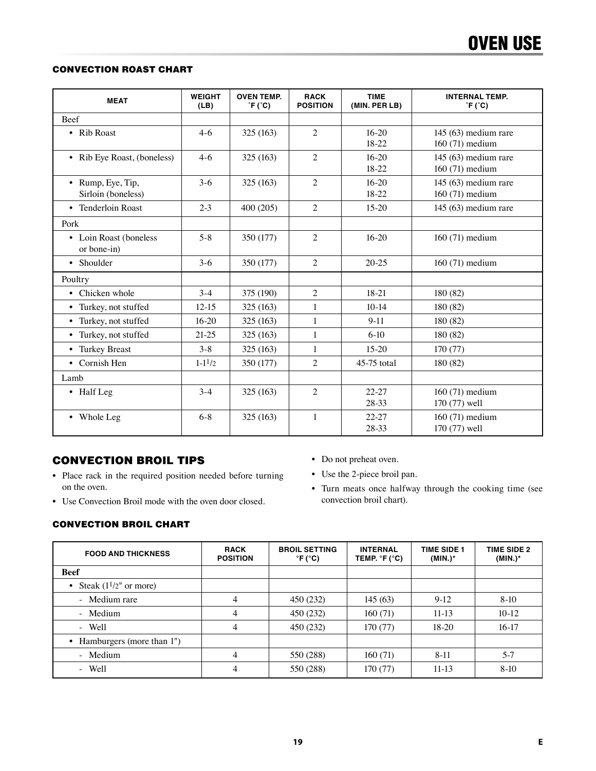### CONVECTION ROAST CHART

| <b>MEAT</b>                             | <b>WEIGHT</b><br>(LB) | <b>OVEN TEMP.</b><br>$\hat{F}$ ( $\hat{C}$ ) | <b>RACK</b><br><b>POSITION</b> | <b>TIME</b><br>(MIN. PER LB) | <b>INTERNAL TEMP.</b><br>$\degree$ F ( $\degree$ C) |
|-----------------------------------------|-----------------------|----------------------------------------------|--------------------------------|------------------------------|-----------------------------------------------------|
| <b>Beef</b>                             |                       |                                              |                                |                              |                                                     |
| • Rib Roast                             | $4-6$                 | 325 (163)                                    | $\overline{2}$                 | $16-20$<br>$18-22$           | 145 $(63)$ medium rare<br>160 (71) medium           |
| • Rib Eye Roast, (boneless)             | $4-6$                 | 325 (163)                                    | $\mathfrak{2}$                 | $16 - 20$<br>18-22           | $145(63)$ medium rare<br>160 (71) medium            |
| • Rump, Eye, Tip,<br>Sirloin (boneless) | $3-6$                 | 325 (163)                                    | $\overline{2}$                 | $16-20$<br>18-22             | 145 (63) medium rare<br>160 (71) medium             |
| • Tenderloin Roast                      | $2 - 3$               | 400 (205)                                    | 2                              | $15-20$                      | 145 (63) medium rare                                |
| Pork                                    |                       |                                              |                                |                              |                                                     |
| • Loin Roast (boneless<br>or bone-in)   | $5 - 8$               | 350 (177)                                    | $\overline{c}$                 | $16 - 20$                    | 160 (71) medium                                     |
| • Shoulder                              | $3-6$                 | 350 (177)                                    | $\overline{2}$                 | $20 - 25$                    | 160 (71) medium                                     |
| Poultry                                 |                       |                                              |                                |                              |                                                     |
| • Chicken whole                         | $3-4$                 | 375 (190)                                    | $\mathfrak{2}$                 | $18-21$                      | 180 (82)                                            |
| • Turkey, not stuffed                   | $12 - 15$             | 325 (163)                                    | 1                              | $10-14$                      | 180 (82)                                            |
| • Turkey, not stuffed                   | $16-20$               | 325 (163)                                    | $\mathbf{1}$                   | $9 - 11$                     | 180 (82)                                            |
| • Turkey, not stuffed                   | $21-25$               | 325 (163)                                    | $\mathbf{1}$                   | $6-10$                       | 180 (82)                                            |
| • Turkey Breast                         | $3 - 8$               | 325 (163)                                    | $\mathbf{1}$                   | $15-20$                      | 170 (77)                                            |
| • Cornish Hen                           | $1 - 1^{1/2}$         | 350 (177)                                    | $\overline{c}$                 | 45-75 total                  | 180 (82)                                            |
| Lamb                                    |                       |                                              |                                |                              |                                                     |
| • Half Leg                              | $3-4$                 | 325 (163)                                    | $\overline{c}$                 | $22 - 27$<br>28-33           | 160 (71) medium<br>170 (77) well                    |
| • Whole Leg                             | $6 - 8$               | 325 (163)                                    | $\mathbf{1}$                   | $22 - 27$<br>28-33           | 160 (71) medium<br>170 (77) well                    |

## CONVECTION BROIL TIPS

- Place rack in the required position needed before turning on the oven.
- Use Convection Broil mode with the oven door closed.
- Do not preheat oven.
- Use the 2-piece broil pan.
- Turn meats once halfway through the cooking time (see convection broil chart).

#### CONVECTION BROIL CHART

| <b>FOOD AND THICKNESS</b>        | <b>RACK</b><br><b>POSITION</b> | <b>BROIL SETTING</b><br>$\degree$ F ( $\degree$ C) | <b>INTERNAL</b><br>TEMP. $^{\circ}$ F ( $^{\circ}$ C) | <b>TIME SIDE 1</b><br>$(MIN.)^*$ | <b>TIME SIDE 2</b><br>$(MIN.)^*$ |
|----------------------------------|--------------------------------|----------------------------------------------------|-------------------------------------------------------|----------------------------------|----------------------------------|
| <b>Beef</b>                      |                                |                                                    |                                                       |                                  |                                  |
| • Steak $(1\frac{1}{2}$ or more) |                                |                                                    |                                                       |                                  |                                  |
| - Medium rare                    | 4                              | 450 (232)                                          | 145(63)                                               | $9-12$                           | $8-10$                           |
| - Medium                         | $\overline{4}$                 | 450 (232)                                          | 160(71)                                               | $11-13$                          | $10-12$                          |
| - Well                           | 4                              | 450 (232)                                          | 170 $(77)$                                            | $18-20$                          | $16-17$                          |
| • Hamburgers (more than 1")      |                                |                                                    |                                                       |                                  |                                  |
| - Medium                         | 4                              | 550 (288)                                          | 160(71)                                               | $8 - 11$                         | $5 - 7$                          |
| - Well                           | $\overline{4}$                 | 550 (288)                                          | 170 (77)                                              | $11-13$                          | $8-10$                           |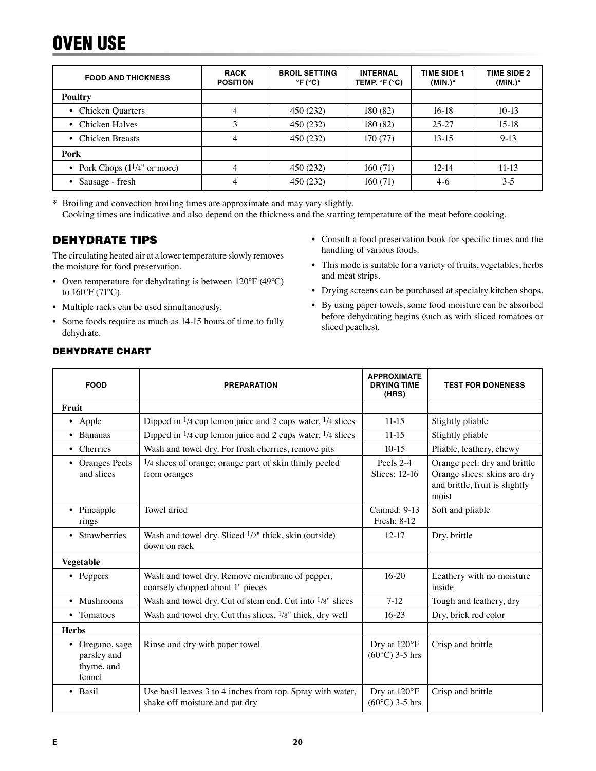## OVEN USE

| <b>FOOD AND THICKNESS</b>               | <b>RACK</b><br><b>POSITION</b> | <b>BROIL SETTING</b><br>$\degree$ F ( $\degree$ C) | <b>INTERNAL</b><br>TEMP. $\degree$ F ( $\degree$ C) | <b>TIME SIDE 1</b><br>$(MIN.)^*$ | <b>TIME SIDE 2</b><br>$(MIN.)^*$ |
|-----------------------------------------|--------------------------------|----------------------------------------------------|-----------------------------------------------------|----------------------------------|----------------------------------|
| Poultry                                 |                                |                                                    |                                                     |                                  |                                  |
| • Chicken Quarters                      | 4                              | 450 (232)                                          | 180 (82)                                            | $16-18$                          | $10-13$                          |
| • Chicken Halves                        | 3                              | 450 (232)                                          | 180 (82)                                            | $25 - 27$                        | $15-18$                          |
| • Chicken Breasts                       | 4                              | 450 (232)                                          | 170 (77)                                            | $13-15$                          | $9-13$                           |
| Pork                                    |                                |                                                    |                                                     |                                  |                                  |
| • Pork Chops $(1\frac{1}{4}$ " or more) | 4                              | 450 (232)                                          | 160(71)                                             | $12 - 14$                        | $11-13$                          |
| • Sausage - fresh                       | 4                              | 450 (232)                                          | 160(71)                                             | $4-6$                            | $3 - 5$                          |

\* Broiling and convection broiling times are approximate and may vary slightly. Cooking times are indicative and also depend on the thickness and the starting temperature of the meat before cooking.

## DEHYDRATE TIPS

The circulating heated air at a lower temperature slowly removes the moisture for food preservation.

- Oven temperature for dehydrating is between 120ºF (49ºC) to 160ºF (71ºC).
- Multiple racks can be used simultaneously.
- Some foods require as much as 14-15 hours of time to fully dehydrate.
- Consult a food preservation book for specific times and the handling of various foods.
- This mode is suitable for a variety of fruits, vegetables, herbs and meat strips.
- Drying screens can be purchased at specialty kitchen shops.
- By using paper towels, some food moisture can be absorbed before dehydrating begins (such as with sliced tomatoes or sliced peaches).

| <b>FOOD</b>                                            | <b>PREPARATION</b>                                                                           | <b>APPROXIMATE</b><br><b>DRYING TIME</b><br>(HRS) | <b>TEST FOR DONENESS</b>                                                                                |
|--------------------------------------------------------|----------------------------------------------------------------------------------------------|---------------------------------------------------|---------------------------------------------------------------------------------------------------------|
| Fruit                                                  |                                                                                              |                                                   |                                                                                                         |
| • Apple                                                | Dipped in $\frac{1}{4}$ cup lemon juice and 2 cups water, $\frac{1}{4}$ slices               | $11-15$                                           | Slightly pliable                                                                                        |
| Bananas<br>$\bullet$                                   | Dipped in $\frac{1}{4}$ cup lemon juice and 2 cups water, $\frac{1}{4}$ slices               | $11-15$                                           | Slightly pliable                                                                                        |
| • Cherries                                             | Wash and towel dry. For fresh cherries, remove pits                                          | $10-15$                                           | Pliable, leathery, chewy                                                                                |
| <b>Oranges Peels</b><br>٠<br>and slices                | 1/4 slices of orange; orange part of skin thinly peeled<br>from oranges                      | Peels 2-4<br><b>Slices: 12-16</b>                 | Orange peel: dry and brittle<br>Orange slices: skins are dry<br>and brittle, fruit is slightly<br>moist |
| • Pineapple<br>rings                                   | Towel dried                                                                                  | Canned: 9-13<br>Fresh: 8-12                       | Soft and pliable                                                                                        |
| Strawberries<br>$\bullet$                              | Wash and towel dry. Sliced $1/2$ " thick, skin (outside)<br>down on rack                     | $12 - 17$                                         | Dry, brittle                                                                                            |
| Vegetable                                              |                                                                                              |                                                   |                                                                                                         |
| • Peppers                                              | Wash and towel dry. Remove membrane of pepper,<br>coarsely chopped about 1" pieces           | $16 - 20$                                         | Leathery with no moisture<br>inside                                                                     |
| • Mushrooms                                            | Wash and towel dry. Cut of stem end. Cut into 1/8" slices                                    | $7-12$                                            | Tough and leathery, dry                                                                                 |
| • Tomatoes                                             | Wash and towel dry. Cut this slices, 1/8" thick, dry well                                    | $16 - 23$                                         | Dry, brick red color                                                                                    |
| <b>Herbs</b>                                           |                                                                                              |                                                   |                                                                                                         |
| • Oregano, sage<br>parsley and<br>thyme, and<br>fennel | Rinse and dry with paper towel                                                               | Dry at 120°F<br>$(60^{\circ}C)$ 3-5 hrs           | Crisp and brittle                                                                                       |
| Basil<br>$\bullet$                                     | Use basil leaves 3 to 4 inches from top. Spray with water,<br>shake off moisture and pat dry | Dry at 120°F<br>$(60^{\circ}C)$ 3-5 hrs           | Crisp and brittle                                                                                       |

#### DEHYDRATE CHART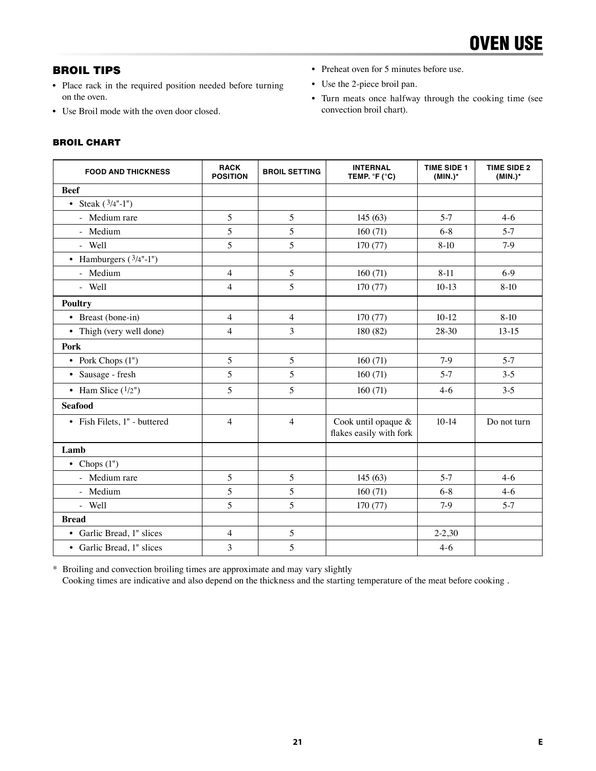## BROIL TIPS

- Place rack in the required position needed before turning on the oven.
- Use Broil mode with the oven door closed.

## BROIL CHART

- Preheat oven for 5 minutes before use.
- Use the 2-piece broil pan.
- Turn meats once halfway through the cooking time (see convection broil chart).

| <b>FOOD AND THICKNESS</b>    | <b>RACK</b><br><b>POSITION</b> | <b>BROIL SETTING</b> | <b>INTERNAL</b><br>TEMP. $\degree$ F ( $\degree$ C) | <b>TIME SIDE 1</b><br>$(MIN.)^*$ | <b>TIME SIDE 2</b><br>$(MIN.)^*$ |
|------------------------------|--------------------------------|----------------------|-----------------------------------------------------|----------------------------------|----------------------------------|
| <b>Beef</b>                  |                                |                      |                                                     |                                  |                                  |
| • Steak $(3/4" - 1")$        |                                |                      |                                                     |                                  |                                  |
| - Medium rare                | 5                              | 5                    | 145(63)                                             | $5-7$                            | $4-6$                            |
| - Medium                     | 5                              | 5                    | 160(71)                                             | $6 - 8$                          | $5 - 7$                          |
| - Well                       | 5                              | 5                    | 170(77)                                             | $8-10$                           | $7-9$                            |
| • Hamburgers $(3/4"$ -1")    |                                |                      |                                                     |                                  |                                  |
| - Medium                     | $\overline{4}$                 | 5                    | 160(71)                                             | $8 - 11$                         | $6-9$                            |
| - Well                       | $\overline{4}$                 | 5                    | 170 (77)                                            | $10-13$                          | $8-10$                           |
| <b>Poultry</b>               |                                |                      |                                                     |                                  |                                  |
| • Breast (bone-in)           | $\overline{4}$                 | $\overline{4}$       | 170(77)                                             | $10-12$                          | $8-10$                           |
| • Thigh (very well done)     | $\overline{4}$                 | 3                    | 180 (82)                                            | 28-30                            | $13-15$                          |
| Pork                         |                                |                      |                                                     |                                  |                                  |
| • Pork Chops $(1")$          | 5                              | 5                    | 160(71)                                             | $7-9$                            | $5-7$                            |
| • Sausage - fresh            | 5                              | 5                    | 160(71)                                             | $5 - 7$                          | $3 - 5$                          |
| • Ham Slice $(1/2")$         | 5                              | 5                    | 160(71)                                             | $4-6$                            | $3 - 5$                          |
| <b>Seafood</b>               |                                |                      |                                                     |                                  |                                  |
| • Fish Filets, 1" - buttered | $\overline{4}$                 | $\overline{4}$       | Cook until opaque &<br>flakes easily with fork      | $10-14$                          | Do not turn                      |
| Lamb                         |                                |                      |                                                     |                                  |                                  |
| • Chops $(1")$               |                                |                      |                                                     |                                  |                                  |
| - Medium rare                | 5                              | 5                    | 145(63)                                             | $5-7$                            | $4-6$                            |
| - Medium                     | 5                              | 5                    | 160(71)                                             | $6 - 8$                          | $4 - 6$                          |
| - Well                       | 5                              | 5                    | 170(77)                                             | $7-9$                            | $5-7$                            |
| <b>Bread</b>                 |                                |                      |                                                     |                                  |                                  |
| • Garlic Bread, 1" slices    | $\overline{4}$                 | 5                    |                                                     | $2 - 2,30$                       |                                  |
| • Garlic Bread, 1" slices    | 3                              | 5                    |                                                     | $4 - 6$                          |                                  |

\* Broiling and convection broiling times are approximate and may vary slightly

Cooking times are indicative and also depend on the thickness and the starting temperature of the meat before cooking .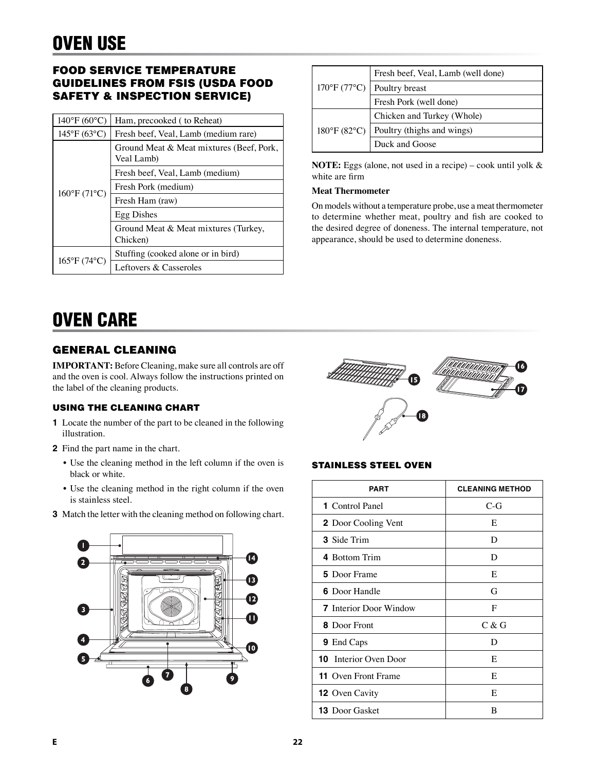## FOOD SERVICE TEMPERATURE GUIDELINES FROM FSIS (USDA FOOD SAFETY & INSPECTION SERVICE)

| $140^{\circ}F(60^{\circ}C)$ | Ham, precooked (to Reheat)                             |  |  |
|-----------------------------|--------------------------------------------------------|--|--|
| $145^{\circ}F(63^{\circ}C)$ | Fresh beef, Veal, Lamb (medium rare)                   |  |  |
| 160°F (71°C)                | Ground Meat & Meat mixtures (Beef, Pork,<br>Veal Lamb) |  |  |
|                             | Fresh beef, Veal, Lamb (medium)                        |  |  |
|                             | Fresh Pork (medium)                                    |  |  |
|                             | Fresh Ham (raw)                                        |  |  |
|                             | Egg Dishes                                             |  |  |
|                             | Ground Meat & Meat mixtures (Turkey,<br>Chicken)       |  |  |
|                             | Stuffing (cooked alone or in bird)                     |  |  |
| $165^{\circ}F(74^{\circ}C)$ | Leftovers & Casseroles                                 |  |  |

| $170^{\circ}$ F (77°C)            | Fresh beef, Veal, Lamb (well done) |  |
|-----------------------------------|------------------------------------|--|
|                                   | Poultry breast                     |  |
|                                   | Fresh Pork (well done)             |  |
| $180^{\circ}$ F (82 $^{\circ}$ C) | Chicken and Turkey (Whole)         |  |
|                                   | Poultry (thighs and wings)         |  |
|                                   | Duck and Goose                     |  |

**NOTE:** Eggs (alone, not used in a recipe) – cook until yolk & white are firm

#### **Meat Thermometer**

On models without a temperature probe, use a meat thermometer to determine whether meat, poultry and fish are cooked to the desired degree of doneness. The internal temperature, not appearance, should be used to determine doneness.

## OVEN CARE

## GENERAL CLEANING

**IMPORTANT:** Before Cleaning, make sure all controls are off and the oven is cool. Always follow the instructions printed on the label of the cleaning products.

#### USING THE CLEANING CHART

- **1** Locate the number of the part to be cleaned in the following illustration.
- **2** Find the part name in the chart.
	- Use the cleaning method in the left column if the oven is black or white.
	- Use the cleaning method in the right column if the oven is stainless steel.
- **3** Match the letter with the cleaning method on following chart.





#### STAINLESS STEEL OVEN

| <b>PART</b>                   | <b>CLEANING METHOD</b> |
|-------------------------------|------------------------|
| <b>1</b> Control Panel        | $C-G$                  |
| <b>2</b> Door Cooling Vent    | E                      |
| <b>3</b> Side Trim            | D                      |
| 4 Bottom Trim                 | D                      |
| <b>5</b> Door Frame           | E                      |
| <b>6</b> Door Handle          | G                      |
| <b>7</b> Interior Door Window | F                      |
| <b>8</b> Door Front           | C & G                  |
| <b>9</b> End Caps             | D                      |
| <b>10</b> Interior Oven Door  | E                      |
| <b>11</b> Oven Front Frame    | E                      |
| <b>12</b> Oven Cavity         | E                      |
| <b>13</b> Door Gasket         | В                      |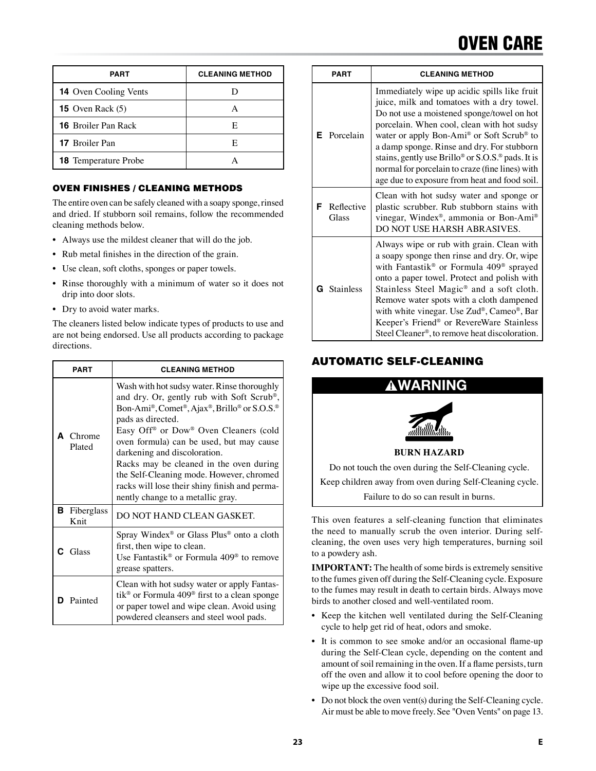## OVEN CARE

| <b>PART</b>                  | <b>CLEANING METHOD</b> |
|------------------------------|------------------------|
| <b>14</b> Oven Cooling Vents |                        |
| <b>15</b> Oven Rack $(5)$    |                        |
| <b>16</b> Broiler Pan Rack   | E                      |
| <b>17</b> Broiler Pan        | E                      |
| <b>18</b> Temperature Probe  |                        |

#### OVEN FINISHES / CLEANING METHODS

The entire oven can be safely cleaned with a soapy sponge, rinsed and dried. If stubborn soil remains, follow the recommended cleaning methods below.

- Always use the mildest cleaner that will do the job.
- Rub metal finishes in the direction of the grain.
- Use clean, soft cloths, sponges or paper towels.
- Rinse thoroughly with a minimum of water so it does not drip into door slots.
- Dry to avoid water marks.

The cleaners listed below indicate types of products to use and are not being endorsed. Use all products according to package directions.

| PART<br><b>A</b> Chrome<br>Plated |                    | <b>CLEANING METHOD</b>                                                                                                                                                                                                                                                                                                                                                                                                                                                     |  |  |
|-----------------------------------|--------------------|----------------------------------------------------------------------------------------------------------------------------------------------------------------------------------------------------------------------------------------------------------------------------------------------------------------------------------------------------------------------------------------------------------------------------------------------------------------------------|--|--|
|                                   |                    | Wash with hot sudsy water. Rinse thoroughly<br>and dry. Or, gently rub with Soft Scrub®,<br>Bon-Ami®, Comet®, Ajax®, Brillo® or S.O.S.®<br>pads as directed.<br>Easy Off <sup>®</sup> or Dow® Oven Cleaners (cold<br>oven formula) can be used, but may cause<br>darkening and discoloration.<br>Racks may be cleaned in the oven during<br>the Self-Cleaning mode. However, chromed<br>racks will lose their shiny finish and perma-<br>nently change to a metallic gray. |  |  |
| в                                 | Fiberglass<br>Knit | DO NOT HAND CLEAN GASKET.                                                                                                                                                                                                                                                                                                                                                                                                                                                  |  |  |
|                                   | $C$ Glass          | Spray Windex <sup>®</sup> or Glass Plus <sup>®</sup> onto a cloth<br>first, then wipe to clean.<br>Use Fantastik <sup>®</sup> or Formula $409$ <sup>®</sup> to remove<br>grease spatters.                                                                                                                                                                                                                                                                                  |  |  |
|                                   | Painted            | Clean with hot sudsy water or apply Fantas-<br>tik <sup>®</sup> or Formula 409 <sup>®</sup> first to a clean sponge<br>or paper towel and wipe clean. Avoid using<br>powdered cleansers and steel wool pads.                                                                                                                                                                                                                                                               |  |  |

| <b>PART</b>              |   |                    | <b>CLEANING METHOD</b>                                                                                                                                                                                                                                                                                                                                                                                                                                                                    |
|--------------------------|---|--------------------|-------------------------------------------------------------------------------------------------------------------------------------------------------------------------------------------------------------------------------------------------------------------------------------------------------------------------------------------------------------------------------------------------------------------------------------------------------------------------------------------|
|                          | Е | Porcelain          | Immediately wipe up acidic spills like fruit<br>juice, milk and tomatoes with a dry towel.<br>Do not use a moistened sponge/towel on hot<br>porcelain. When cool, clean with hot sudsy<br>water or apply Bon-Ami <sup>®</sup> or Soft Scrub <sup>®</sup> to<br>a damp sponge. Rinse and dry. For stubborn<br>stains, gently use Brillo <sup>®</sup> or S.O.S. <sup>®</sup> pads. It is<br>normal for porcelain to craze (fine lines) with<br>age due to exposure from heat and food soil. |
| Reflective<br>F<br>Glass |   |                    | Clean with hot sudsy water and sponge or<br>plastic scrubber. Rub stubborn stains with<br>vinegar, Windex®, ammonia or Bon-Ami®<br>DO NOT USE HARSH ABRASIVES.                                                                                                                                                                                                                                                                                                                            |
|                          |   | <b>G</b> Stainless | Always wipe or rub with grain. Clean with<br>a soapy sponge then rinse and dry. Or, wipe<br>with Fantastik® or Formula 409® sprayed<br>onto a paper towel. Protect and polish with<br>Stainless Steel Magic <sup>®</sup> and a soft cloth.<br>Remove water spots with a cloth dampened<br>with white vinegar. Use Zud®, Cameo®, Bar<br>Keeper's Friend® or RevereWare Stainless<br>Steel Cleaner®, to remove heat discoloration.                                                          |

## AUTOMATIC SELF-CLEANING



This oven features a self-cleaning function that eliminates the need to manually scrub the oven interior. During selfcleaning, the oven uses very high temperatures, burning soil to a powdery ash.

**IMPORTANT:** The health of some birds is extremely sensitive to the fumes given off during the Self-Cleaning cycle. Exposure to the fumes may result in death to certain birds. Always move birds to another closed and well-ventilated room.

- Keep the kitchen well ventilated during the Self-Cleaning cycle to help get rid of heat, odors and smoke.
- It is common to see smoke and/or an occasional flame-up during the Self-Clean cycle, depending on the content and amount of soil remaining in the oven. If a flame persists, turn off the oven and allow it to cool before opening the door to wipe up the excessive food soil.
- Do not block the oven vent(s) during the Self-Cleaning cycle. Air must be able to move freely. See "Oven Vents" on page 13.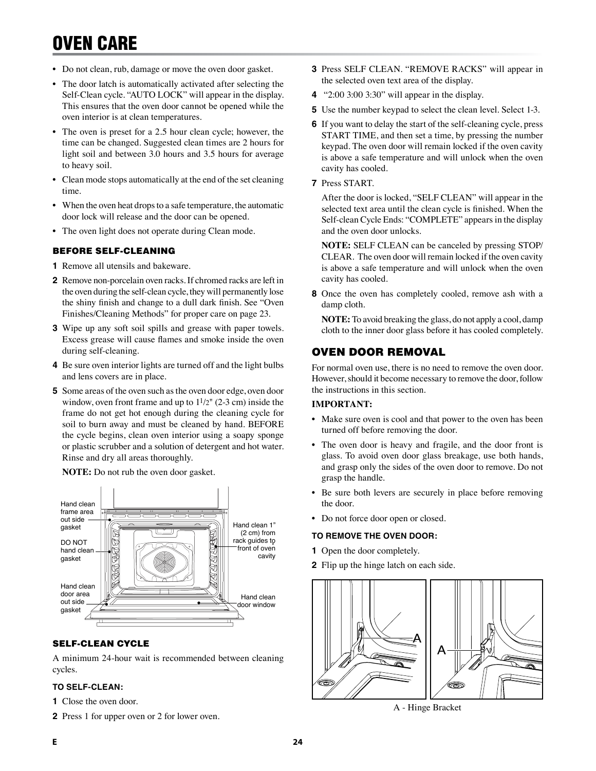## OVEN CARE

- Do not clean, rub, damage or move the oven door gasket.
- The door latch is automatically activated after selecting the Self-Clean cycle. "AUTO LOCK" will appear in the display. This ensures that the oven door cannot be opened while the oven interior is at clean temperatures.
- The oven is preset for a 2.5 hour clean cycle; however, the time can be changed. Suggested clean times are 2 hours for light soil and between 3.0 hours and 3.5 hours for average to heavy soil.
- Clean mode stops automatically at the end of the set cleaning time.
- When the oven heat drops to a safe temperature, the automatic door lock will release and the door can be opened.
- The oven light does not operate during Clean mode.

### BEFORE SELF-CLEANING

- **1** Remove all utensils and bakeware.
- **2** Remove non-porcelain oven racks. If chromed racks are left in the oven during the self-clean cycle, they will permanently lose the shiny finish and change to a dull dark finish. See "Oven Finishes/Cleaning Methods" for proper care on page 23.
- **3** Wipe up any soft soil spills and grease with paper towels. Excess grease will cause flames and smoke inside the oven during self-cleaning.
- **4** Be sure oven interior lights are turned off and the light bulbs and lens covers are in place.
- **5** Some areas of the oven such as the oven door edge, oven door window, oven front frame and up to  $1\frac{1}{2}$ " (2-3 cm) inside the frame do not get hot enough during the cleaning cycle for soil to burn away and must be cleaned by hand. BEFORE the cycle begins, clean oven interior using a soapy sponge or plastic scrubber and a solution of detergent and hot water. Rinse and dry all areas thoroughly.

### **NOTE:** Do not rub the oven door gasket.



### SELF-CLEAN CYCLE

A minimum 24-hour wait is recommended between cleaning cycles.

#### **TO SELF-CLEAN:**

- **1** Close the oven door.
- **2** Press 1 for upper oven or 2 for lower oven.
- **3** Press SELF CLEAN. "REMOVE RACKS" will appear in the selected oven text area of the display.
- **4** "2:00 3:00 3:30" will appear in the display.
- **5** Use the number keypad to select the clean level. Select 1-3.
- **6** If you want to delay the start of the self-cleaning cycle, press START TIME, and then set a time, by pressing the number keypad. The oven door will remain locked if the oven cavity is above a safe temperature and will unlock when the oven cavity has cooled.
- **7** Press START.

After the door is locked, "SELF CLEAN" will appear in the selected text area until the clean cycle is finished. When the Self-clean Cycle Ends: "COMPLETE" appears in the display and the oven door unlocks.

**NOTE:** SELF CLEAN can be canceled by pressing STOP/ CLEAR. The oven door will remain locked if the oven cavity is above a safe temperature and will unlock when the oven cavity has cooled.

**8** Once the oven has completely cooled, remove ash with a damp cloth.

**NOTE:** To avoid breaking the glass, do not apply a cool, damp cloth to the inner door glass before it has cooled completely.

## OVEN DOOR REMOVAL

For normal oven use, there is no need to remove the oven door. However, should it become necessary to remove the door, follow the instructions in this section.

#### **IMPORTANT:**

- Make sure oven is cool and that power to the oven has been turned off before removing the door.
- The oven door is heavy and fragile, and the door front is glass. To avoid oven door glass breakage, use both hands, and grasp only the sides of the oven door to remove. Do not grasp the handle.
- Be sure both levers are securely in place before removing the door.
- Do not force door open or closed.

#### **TO REMOVE THE OVEN DOOR:**

- **1** Open the door completely.
- **2** Flip up the hinge latch on each side.



A - Hinge Bracket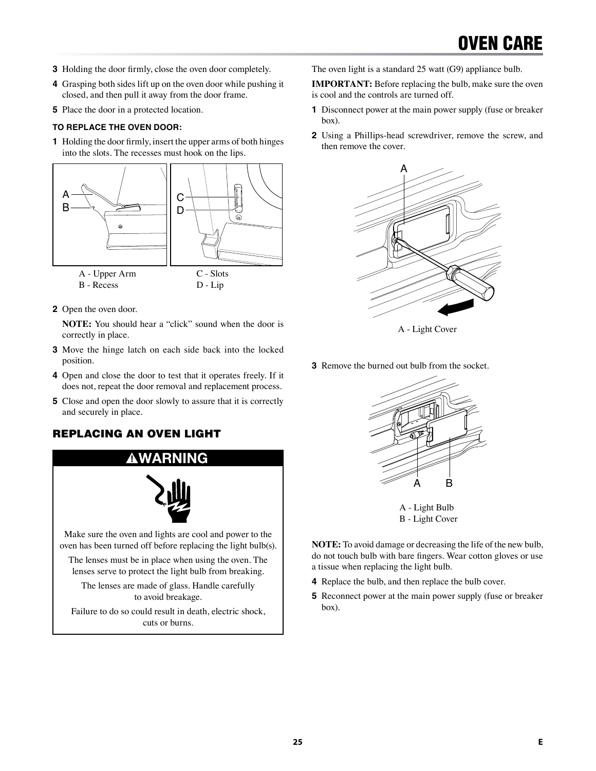- **3** Holding the door firmly, close the oven door completely.
- **4** Grasping both sides lift up on the oven door while pushing it closed, and then pull it away from the door frame.
- **5** Place the door in a protected location.

#### **TO REPLACE THE OVEN DOOR:**

**1** Holding the door firmly, insert the upper arms of both hinges into the slots. The recesses must hook on the lips.



**2** Open the oven door.

**NOTE:** You should hear a "click" sound when the door is correctly in place.

- **3** Move the hinge latch on each side back into the locked position.
- **4** Open and close the door to test that it operates freely. If it does not, repeat the door removal and replacement process.
- **5** Close and open the door slowly to assure that it is correctly and securely in place.

## REPLACING AN OVEN LIGHT



Failure to do so could result in death, electric shock, cuts or burns.

The oven light is a standard 25 watt (G9) appliance bulb.

**IMPORTANT:** Before replacing the bulb, make sure the oven is cool and the controls are turned off.

- **1** Disconnect power at the main power supply (fuse or breaker box).
- **2** Using a Phillips-head screwdriver, remove the screw, and then remove the cover.



A - Light Cover

**3** Remove the burned out bulb from the socket.



A - Light Bulb B - Light Cover

**NOTE:** To avoid damage or decreasing the life of the new bulb, do not touch bulb with bare fingers. Wear cotton gloves or use a tissue when replacing the light bulb.

- **4** Replace the bulb, and then replace the bulb cover.
- **5** Reconnect power at the main power supply (fuse or breaker box).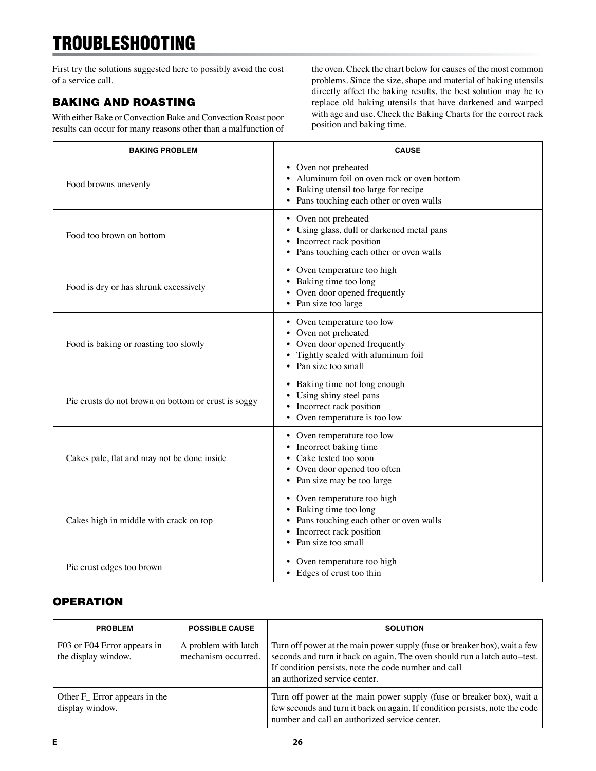## TROUBLESHOOTING

First try the solutions suggested here to possibly avoid the cost of a service call.

## BAKING AND ROASTING

With either Bake or Convection Bake and Convection Roast poor results can occur for many reasons other than a malfunction of the oven. Check the chart below for causes of the most common problems. Since the size, shape and material of baking utensils directly affect the baking results, the best solution may be to replace old baking utensils that have darkened and warped with age and use. Check the Baking Charts for the correct rack position and baking time.

| <b>BAKING PROBLEM</b>                               | <b>CAUSE</b>                                                                                                                                           |
|-----------------------------------------------------|--------------------------------------------------------------------------------------------------------------------------------------------------------|
| Food browns unevenly                                | • Oven not preheated<br>• Aluminum foil on oven rack or oven bottom<br>Baking utensil too large for recipe<br>• Pans touching each other or oven walls |
| Food too brown on bottom                            | • Oven not preheated<br>Using glass, dull or darkened metal pans<br>Incorrect rack position<br>• Pans touching each other or oven walls                |
| Food is dry or has shrunk excessively               | • Oven temperature too high<br>• Baking time too long<br>• Oven door opened frequently<br>• Pan size too large                                         |
| Food is baking or roasting too slowly               | • Oven temperature too low<br>• Oven not preheated<br>Oven door opened frequently<br>Tightly sealed with aluminum foil<br>• Pan size too small         |
| Pie crusts do not brown on bottom or crust is soggy | • Baking time not long enough<br>Using shiny steel pans<br>• Incorrect rack position<br>• Oven temperature is too low                                  |
| Cakes pale, flat and may not be done inside         | • Oven temperature too low<br>• Incorrect baking time<br>Cake tested too soon<br>• Oven door opened too often<br>• Pan size may be too large           |
| Cakes high in middle with crack on top              | • Oven temperature too high<br>• Baking time too long<br>• Pans touching each other or oven walls<br>• Incorrect rack position<br>• Pan size too small |
| Pie crust edges too brown                           | • Oven temperature too high<br>• Edges of crust too thin                                                                                               |

## **OPERATION**

| <b>PROBLEM</b>                                               | <b>POSSIBLE CAUSE</b>                       | <b>SOLUTION</b>                                                                                                                                                                                                                                 |
|--------------------------------------------------------------|---------------------------------------------|-------------------------------------------------------------------------------------------------------------------------------------------------------------------------------------------------------------------------------------------------|
| F03 or F04 Error appears in<br>the display window.           | A problem with latch<br>mechanism occurred. | Turn off power at the main power supply (fuse or breaker box), wait a few<br>seconds and turn it back on again. The oven should run a latch auto-test.<br>If condition persists, note the code number and call<br>an authorized service center. |
| Other F <sub>_</sub> Error appears in the<br>display window. |                                             | Turn off power at the main power supply (fuse or breaker box), wait a<br>few seconds and turn it back on again. If condition persists, note the code<br>number and call an authorized service center.                                           |